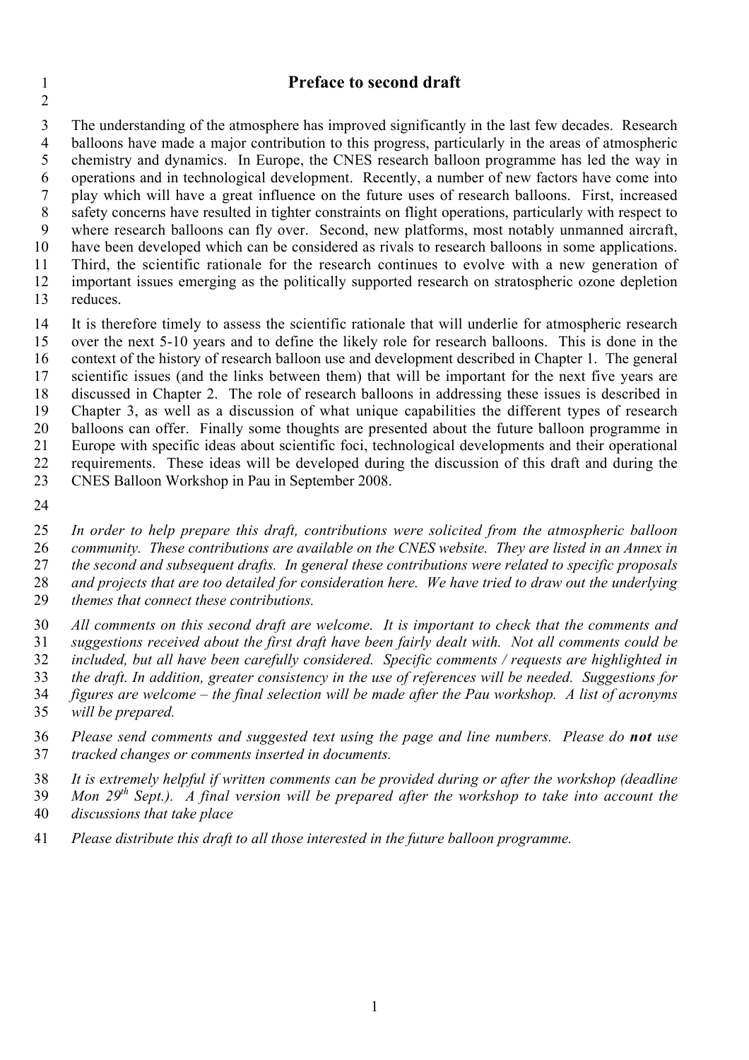## **Preface to second draft**

 The understanding of the atmosphere has improved significantly in the last few decades. Research balloons have made a major contribution to this progress, particularly in the areas of atmospheric chemistry and dynamics. In Europe, the CNES research balloon programme has led the way in operations and in technological development. Recently, a number of new factors have come into play which will have a great influence on the future uses of research balloons. First, increased safety concerns have resulted in tighter constraints on flight operations, particularly with respect to where research balloons can fly over. Second, new platforms, most notably unmanned aircraft, have been developed which can be considered as rivals to research balloons in some applications. Third, the scientific rationale for the research continues to evolve with a new generation of important issues emerging as the politically supported research on stratospheric ozone depletion

reduces.

 It is therefore timely to assess the scientific rationale that will underlie for atmospheric research over the next 5-10 years and to define the likely role for research balloons. This is done in the context of the history of research balloon use and development described in Chapter 1. The general scientific issues (and the links between them) that will be important for the next five years are discussed in Chapter 2. The role of research balloons in addressing these issues is described in Chapter 3, as well as a discussion of what unique capabilities the different types of research balloons can offer. Finally some thoughts are presented about the future balloon programme in Europe with specific ideas about scientific foci, technological developments and their operational requirements. These ideas will be developed during the discussion of this draft and during the CNES Balloon Workshop in Pau in September 2008.

 *In order to help prepare this draft, contributions were solicited from the atmospheric balloon community. These contributions are available on the CNES website. They are listed in an Annex in the second and subsequent drafts. In general these contributions were related to specific proposals and projects that are too detailed for consideration here. We have tried to draw out the underlying*

- *themes that connect these contributions.*
- *All comments on this second draft are welcome. It is important to check that the comments and suggestions received about the first draft have been fairly dealt with. Not all comments could be included, but all have been carefully considered. Specific comments / requests are highlighted in the draft. In addition, greater consistency in the use of references will be needed. Suggestions for figures are welcome – the final selection will be made after the Pau workshop. A list of acronyms will be prepared.*
- *Please send comments and suggested text using the page and line numbers. Please do not use tracked changes or comments inserted in documents.*
- *It is extremely helpful if written comments can be provided during or after the workshop (deadline Mon 29th Sept.). A final version will be prepared after the workshop to take into account the discussions that take place*
- *Please distribute this draft to all those interested in the future balloon programme.*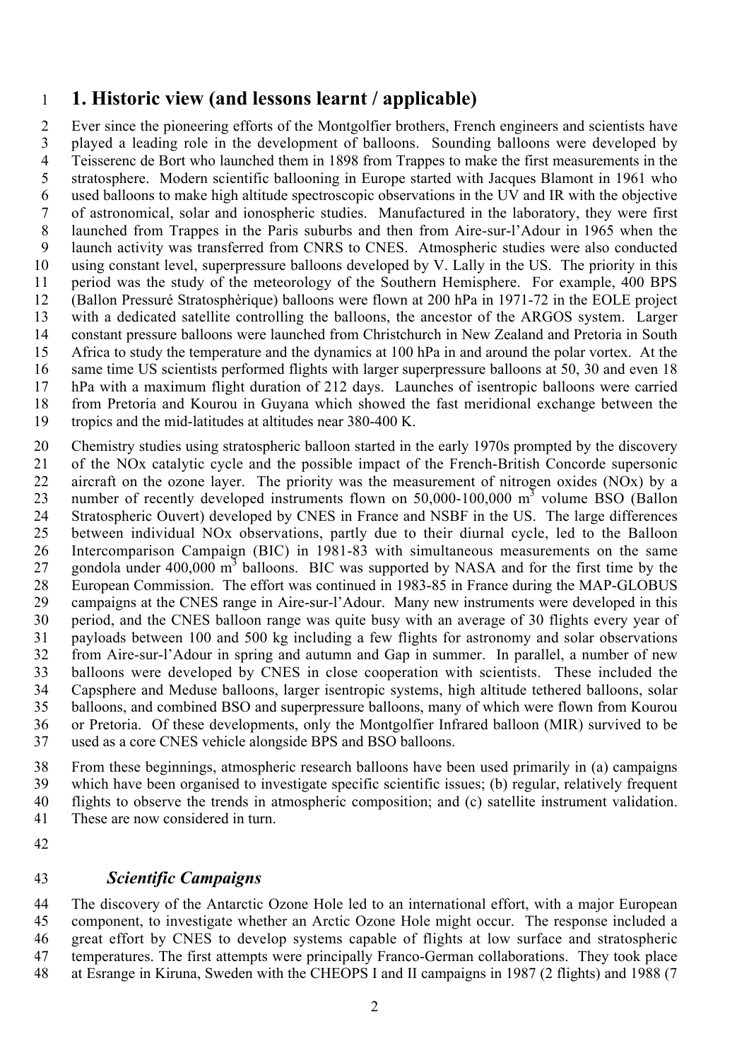# **1. Historic view (and lessons learnt / applicable)**

 Ever since the pioneering efforts of the Montgolfier brothers, French engineers and scientists have played a leading role in the development of balloons. Sounding balloons were developed by Teisserenc de Bort who launched them in 1898 from Trappes to make the first measurements in the stratosphere. Modern scientific ballooning in Europe started with Jacques Blamont in 1961 who used balloons to make high altitude spectroscopic observations in the UV and IR with the objective of astronomical, solar and ionospheric studies. Manufactured in the laboratory, they were first launched from Trappes in the Paris suburbs and then from Aire-sur-l'Adour in 1965 when the launch activity was transferred from CNRS to CNES. Atmospheric studies were also conducted using constant level, superpressure balloons developed by V. Lally in the US. The priority in this period was the study of the meteorology of the Southern Hemisphere. For example, 400 BPS (Ballon Pressuré Stratosphèrique) balloons were flown at 200 hPa in 1971-72 in the EOLE project with a dedicated satellite controlling the balloons, the ancestor of the ARGOS system. Larger constant pressure balloons were launched from Christchurch in New Zealand and Pretoria in South Africa to study the temperature and the dynamics at 100 hPa in and around the polar vortex. At the same time US scientists performed flights with larger superpressure balloons at 50, 30 and even 18 hPa with a maximum flight duration of 212 days. Launches of isentropic balloons were carried from Pretoria and Kourou in Guyana which showed the fast meridional exchange between the tropics and the mid-latitudes at altitudes near 380-400 K.

 Chemistry studies using stratospheric balloon started in the early 1970s prompted by the discovery of the NOx catalytic cycle and the possible impact of the French-British Concorde supersonic aircraft on the ozone layer. The priority was the measurement of nitrogen oxides (NOx) by a 23 number of recently developed instruments flown on  $50,000-100,000$  m<sup>3</sup> volume BSO (Ballon Stratospheric Ouvert) developed by CNES in France and NSBF in the US. The large differences between individual NOx observations, partly due to their diurnal cycle, led to the Balloon Intercomparison Campaign (BIC) in 1981-83 with simultaneous measurements on the same 27 gondola under  $400,000 \text{ m}^3$  balloons. BIC was supported by NASA and for the first time by the European Commission. The effort was continued in 1983-85 in France during the MAP-GLOBUS campaigns at the CNES range in Aire-sur-l'Adour. Many new instruments were developed in this period, and the CNES balloon range was quite busy with an average of 30 flights every year of payloads between 100 and 500 kg including a few flights for astronomy and solar observations from Aire-sur-l'Adour in spring and autumn and Gap in summer. In parallel, a number of new balloons were developed by CNES in close cooperation with scientists. These included the Capsphere and Meduse balloons, larger isentropic systems, high altitude tethered balloons, solar balloons, and combined BSO and superpressure balloons, many of which were flown from Kourou or Pretoria. Of these developments, only the Montgolfier Infrared balloon (MIR) survived to be used as a core CNES vehicle alongside BPS and BSO balloons.

 From these beginnings, atmospheric research balloons have been used primarily in (a) campaigns which have been organised to investigate specific scientific issues; (b) regular, relatively frequent flights to observe the trends in atmospheric composition; and (c) satellite instrument validation. These are now considered in turn.

## *Scientific Campaigns*

 The discovery of the Antarctic Ozone Hole led to an international effort, with a major European component, to investigate whether an Arctic Ozone Hole might occur. The response included a great effort by CNES to develop systems capable of flights at low surface and stratospheric temperatures. The first attempts were principally Franco-German collaborations. They took place at Esrange in Kiruna, Sweden with the CHEOPS I and II campaigns in 1987 (2 flights) and 1988 (7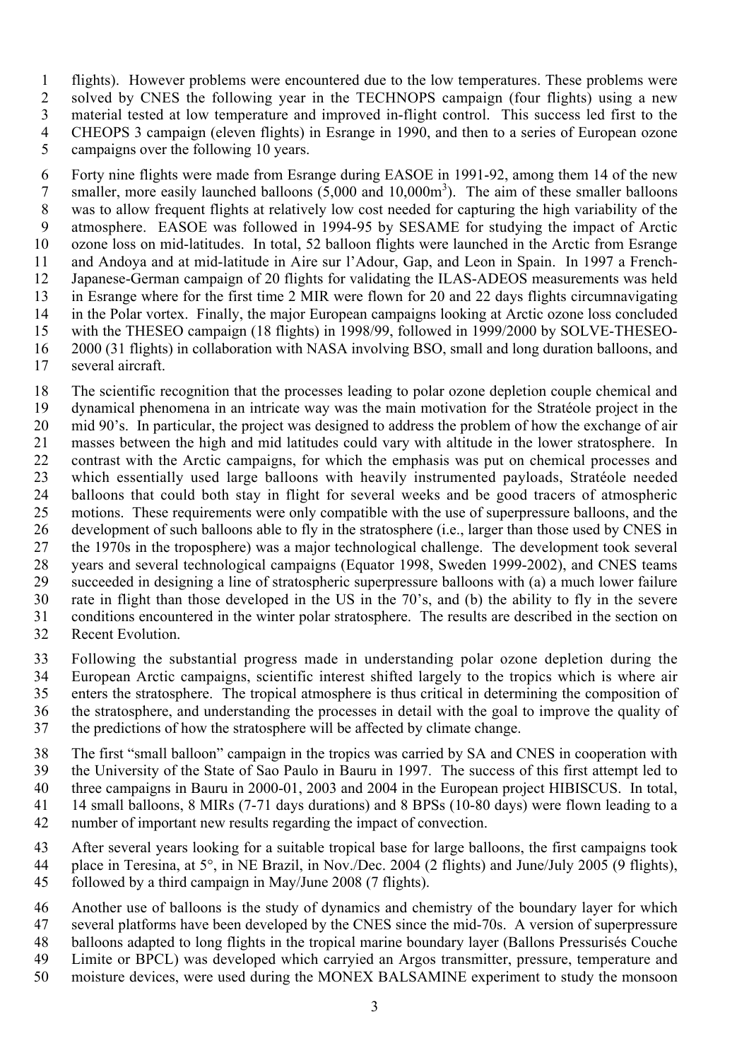flights). However problems were encountered due to the low temperatures. These problems were solved by CNES the following year in the TECHNOPS campaign (four flights) using a new material tested at low temperature and improved in-flight control. This success led first to the CHEOPS 3 campaign (eleven flights) in Esrange in 1990, and then to a series of European ozone campaigns over the following 10 years.

 Forty nine flights were made from Esrange during EASOE in 1991-92, among them 14 of the new 7 smaller, more easily launched balloons  $(5,000 \text{ and } 10,000 \text{ m}^3)$ . The aim of these smaller balloons was to allow frequent flights at relatively low cost needed for capturing the high variability of the atmosphere. EASOE was followed in 1994-95 by SESAME for studying the impact of Arctic ozone loss on mid-latitudes. In total, 52 balloon flights were launched in the Arctic from Esrange and Andoya and at mid-latitude in Aire sur l'Adour, Gap, and Leon in Spain. In 1997 a French- Japanese-German campaign of 20 flights for validating the ILAS-ADEOS measurements was held in Esrange where for the first time 2 MIR were flown for 20 and 22 days flights circumnavigating in the Polar vortex. Finally, the major European campaigns looking at Arctic ozone loss concluded with the THESEO campaign (18 flights) in 1998/99, followed in 1999/2000 by SOLVE-THESEO- 2000 (31 flights) in collaboration with NASA involving BSO, small and long duration balloons, and several aircraft.

 The scientific recognition that the processes leading to polar ozone depletion couple chemical and dynamical phenomena in an intricate way was the main motivation for the Stratéole project in the mid 90's. In particular, the project was designed to address the problem of how the exchange of air masses between the high and mid latitudes could vary with altitude in the lower stratosphere. In contrast with the Arctic campaigns, for which the emphasis was put on chemical processes and which essentially used large balloons with heavily instrumented payloads, Stratéole needed balloons that could both stay in flight for several weeks and be good tracers of atmospheric motions. These requirements were only compatible with the use of superpressure balloons, and the development of such balloons able to fly in the stratosphere (i.e., larger than those used by CNES in the 1970s in the troposphere) was a major technological challenge. The development took several years and several technological campaigns (Equator 1998, Sweden 1999-2002), and CNES teams succeeded in designing a line of stratospheric superpressure balloons with (a) a much lower failure rate in flight than those developed in the US in the 70's, and (b) the ability to fly in the severe conditions encountered in the winter polar stratosphere. The results are described in the section on Recent Evolution.

- Following the substantial progress made in understanding polar ozone depletion during the European Arctic campaigns, scientific interest shifted largely to the tropics which is where air enters the stratosphere. The tropical atmosphere is thus critical in determining the composition of the stratosphere, and understanding the processes in detail with the goal to improve the quality of
- the predictions of how the stratosphere will be affected by climate change.
- The first "small balloon" campaign in the tropics was carried by SA and CNES in cooperation with the University of the State of Sao Paulo in Bauru in 1997. The success of this first attempt led to three campaigns in Bauru in 2000-01, 2003 and 2004 in the European project HIBISCUS. In total, 14 small balloons, 8 MIRs (7-71 days durations) and 8 BPSs (10-80 days) were flown leading to a
- number of important new results regarding the impact of convection.
- After several years looking for a suitable tropical base for large balloons, the first campaigns took place in Teresina, at 5°, in NE Brazil, in Nov./Dec. 2004 (2 flights) and June/July 2005 (9 flights),
- followed by a third campaign in May/June 2008 (7 flights).
- Another use of balloons is the study of dynamics and chemistry of the boundary layer for which several platforms have been developed by the CNES since the mid-70s. A version of superpressure balloons adapted to long flights in the tropical marine boundary layer (Ballons Pressurisés Couche
- Limite or BPCL) was developed which carryied an Argos transmitter, pressure, temperature and
- moisture devices, were used during the MONEX BALSAMINE experiment to study the monsoon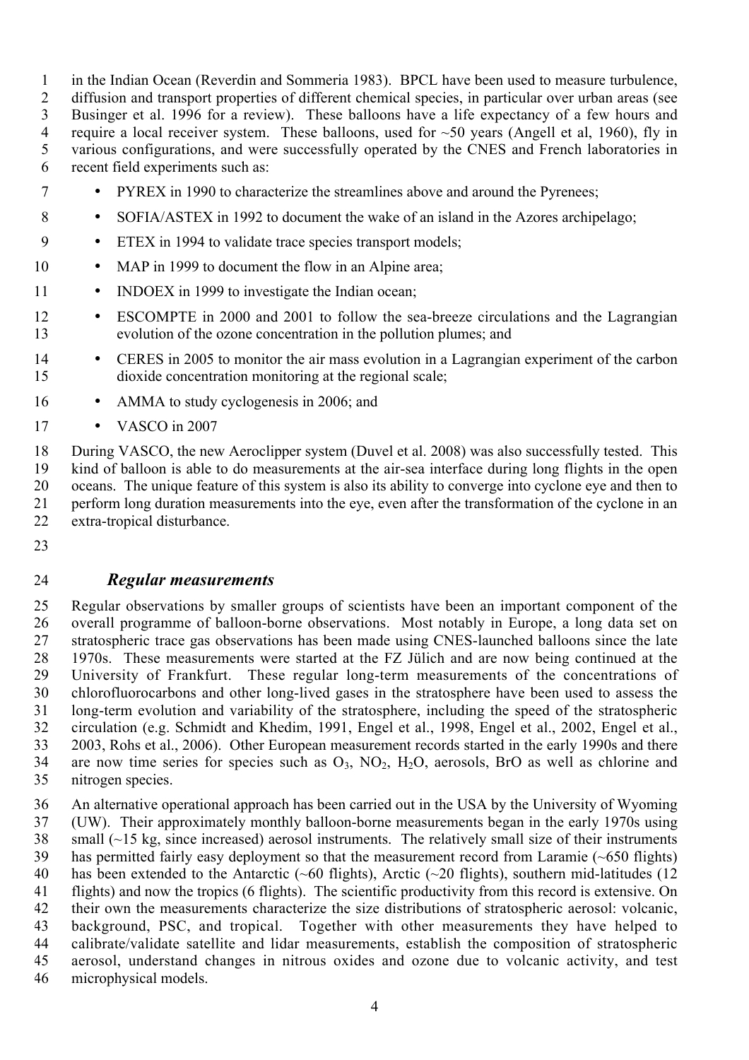in the Indian Ocean (Reverdin and Sommeria 1983). BPCL have been used to measure turbulence,

 diffusion and transport properties of different chemical species, in particular over urban areas (see Businger et al. 1996 for a review). These balloons have a life expectancy of a few hours and 4 require a local receiver system. These balloons, used for  $\sim 50$  years (Angell et al, 1960), fly in various configurations, and were successfully operated by the CNES and French laboratories in recent field experiments such as:

- PYREX in 1990 to characterize the streamlines above and around the Pyrenees;
- SOFIA/ASTEX in 1992 to document the wake of an island in the Azores archipelago;
- ETEX in 1994 to validate trace species transport models;
- 10 MAP in 1999 to document the flow in an Alpine area;
- INDOEX in 1999 to investigate the Indian ocean;
- ESCOMPTE in 2000 and 2001 to follow the sea-breeze circulations and the Lagrangian evolution of the ozone concentration in the pollution plumes; and
- 14 CERES in 2005 to monitor the air mass evolution in a Lagrangian experiment of the carbon dioxide concentration monitoring at the regional scale;
- AMMA to study cyclogenesis in 2006; and
- 17 VASCO in 2007

 During VASCO, the new Aeroclipper system (Duvel et al. 2008) was also successfully tested. This kind of balloon is able to do measurements at the air-sea interface during long flights in the open oceans. The unique feature of this system is also its ability to converge into cyclone eye and then to 21 perform long duration measurements into the eye, eyen after the transformation of the cyclone in an extra-tropical disturbance.

### *Regular measurements*

 Regular observations by smaller groups of scientists have been an important component of the overall programme of balloon-borne observations. Most notably in Europe, a long data set on stratospheric trace gas observations has been made using CNES-launched balloons since the late 1970s. These measurements were started at the FZ Jülich and are now being continued at the University of Frankfurt. These regular long-term measurements of the concentrations of chlorofluorocarbons and other long-lived gases in the stratosphere have been used to assess the long-term evolution and variability of the stratosphere, including the speed of the stratospheric circulation (e.g. Schmidt and Khedim, 1991, Engel et al., 1998, Engel et al., 2002, Engel et al., 2003, Rohs et al., 2006). Other European measurement records started in the early 1990s and there 34 are now time series for species such as  $O_3$ ,  $NO_2$ ,  $H_2O$ , aerosols, BrO as well as chlorine and nitrogen species.

 An alternative operational approach has been carried out in the USA by the University of Wyoming (UW). Their approximately monthly balloon-borne measurements began in the early 1970s using small (~15 kg, since increased) aerosol instruments. The relatively small size of their instruments has permitted fairly easy deployment so that the measurement record from Laramie (~650 flights) has been extended to the Antarctic (~60 flights), Arctic (~20 flights), southern mid-latitudes (12 flights) and now the tropics (6 flights). The scientific productivity from this record is extensive. On their own the measurements characterize the size distributions of stratospheric aerosol: volcanic, background, PSC, and tropical. Together with other measurements they have helped to calibrate/validate satellite and lidar measurements, establish the composition of stratospheric aerosol, understand changes in nitrous oxides and ozone due to volcanic activity, and test microphysical models.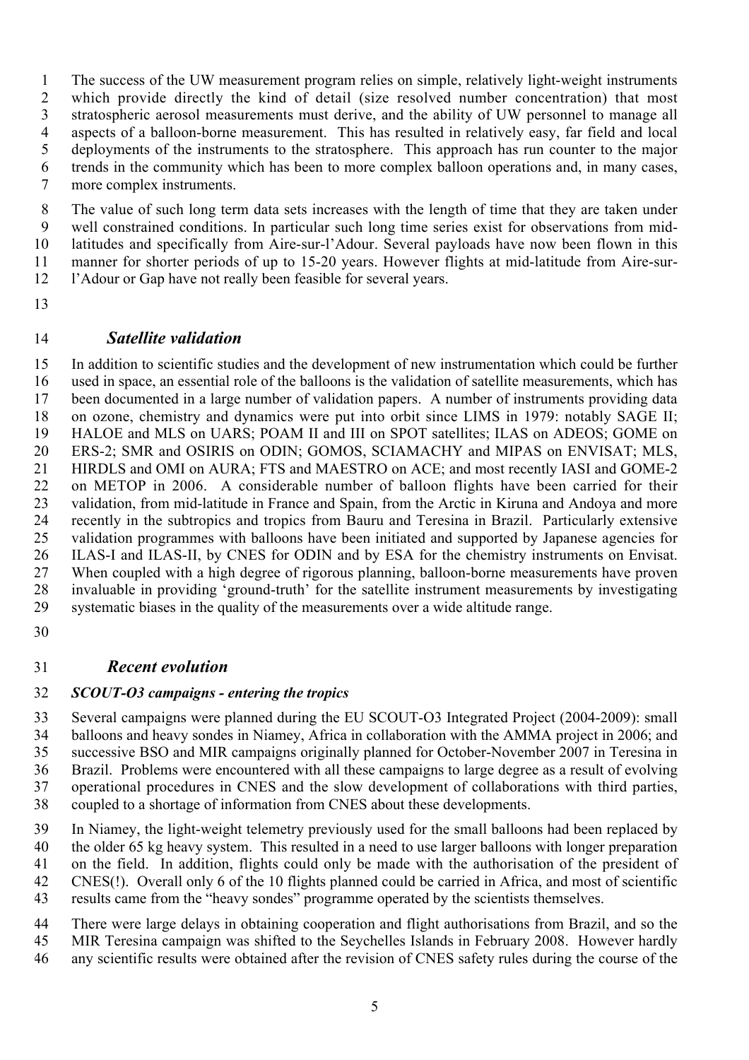The success of the UW measurement program relies on simple, relatively light-weight instruments which provide directly the kind of detail (size resolved number concentration) that most stratospheric aerosol measurements must derive, and the ability of UW personnel to manage all aspects of a balloon-borne measurement. This has resulted in relatively easy, far field and local deployments of the instruments to the stratosphere. This approach has run counter to the major trends in the community which has been to more complex balloon operations and, in many cases, more complex instruments.

 The value of such long term data sets increases with the length of time that they are taken under well constrained conditions. In particular such long time series exist for observations from mid- latitudes and specifically from Aire-sur-l'Adour. Several payloads have now been flown in this manner for shorter periods of up to 15-20 years. However flights at mid-latitude from Aire-sur-l'Adour or Gap have not really been feasible for several years.

### *Satellite validation*

 In addition to scientific studies and the development of new instrumentation which could be further used in space, an essential role of the balloons is the validation of satellite measurements, which has been documented in a large number of validation papers. A number of instruments providing data on ozone, chemistry and dynamics were put into orbit since LIMS in 1979: notably SAGE II; HALOE and MLS on UARS; POAM II and III on SPOT satellites; ILAS on ADEOS; GOME on ERS-2; SMR and OSIRIS on ODIN; GOMOS, SCIAMACHY and MIPAS on ENVISAT; MLS, HIRDLS and OMI on AURA; FTS and MAESTRO on ACE; and most recently IASI and GOME-2 on METOP in 2006. A considerable number of balloon flights have been carried for their validation, from mid-latitude in France and Spain, from the Arctic in Kiruna and Andoya and more recently in the subtropics and tropics from Bauru and Teresina in Brazil. Particularly extensive validation programmes with balloons have been initiated and supported by Japanese agencies for ILAS-I and ILAS-II, by CNES for ODIN and by ESA for the chemistry instruments on Envisat. When coupled with a high degree of rigorous planning, balloon-borne measurements have proven invaluable in providing 'ground-truth' for the satellite instrument measurements by investigating systematic biases in the quality of the measurements over a wide altitude range.

## *Recent evolution*

#### *SCOUT-O3 campaigns - entering the tropics*

 Several campaigns were planned during the EU SCOUT-O3 Integrated Project (2004-2009): small balloons and heavy sondes in Niamey, Africa in collaboration with the AMMA project in 2006; and successive BSO and MIR campaigns originally planned for October-November 2007 in Teresina in Brazil. Problems were encountered with all these campaigns to large degree as a result of evolving operational procedures in CNES and the slow development of collaborations with third parties, coupled to a shortage of information from CNES about these developments.

 In Niamey, the light-weight telemetry previously used for the small balloons had been replaced by the older 65 kg heavy system. This resulted in a need to use larger balloons with longer preparation on the field. In addition, flights could only be made with the authorisation of the president of CNES(!). Overall only 6 of the 10 flights planned could be carried in Africa, and most of scientific results came from the "heavy sondes" programme operated by the scientists themselves.

 There were large delays in obtaining cooperation and flight authorisations from Brazil, and so the MIR Teresina campaign was shifted to the Seychelles Islands in February 2008. However hardly

any scientific results were obtained after the revision of CNES safety rules during the course of the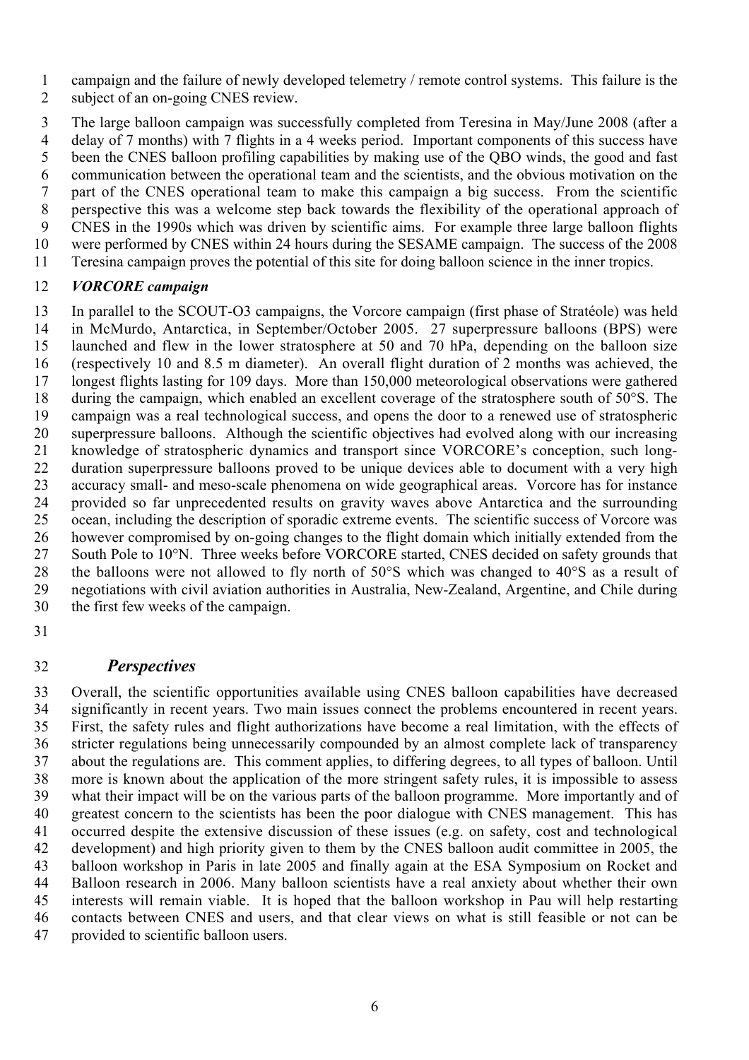campaign and the failure of newly developed telemetry / remote control systems. This failure is the

subject of an on-going CNES review.

 The large balloon campaign was successfully completed from Teresina in May/June 2008 (after a delay of 7 months) with 7 flights in a 4 weeks period. Important components of this success have been the CNES balloon profiling capabilities by making use of the QBO winds, the good and fast communication between the operational team and the scientists, and the obvious motivation on the part of the CNES operational team to make this campaign a big success. From the scientific perspective this was a welcome step back towards the flexibility of the operational approach of CNES in the 1990s which was driven by scientific aims. For example three large balloon flights were performed by CNES within 24 hours during the SESAME campaign. The success of the 2008 Teresina campaign proves the potential of this site for doing balloon science in the inner tropics.

### *VORCORE campaign*

 In parallel to the SCOUT-O3 campaigns, the Vorcore campaign (first phase of Stratéole) was held in McMurdo, Antarctica, in September/October 2005. 27 superpressure balloons (BPS) were launched and flew in the lower stratosphere at 50 and 70 hPa, depending on the balloon size (respectively 10 and 8.5 m diameter). An overall flight duration of 2 months was achieved, the longest flights lasting for 109 days. More than 150,000 meteorological observations were gathered during the campaign, which enabled an excellent coverage of the stratosphere south of 50°S. The campaign was a real technological success, and opens the door to a renewed use of stratospheric superpressure balloons. Although the scientific objectives had evolved along with our increasing knowledge of stratospheric dynamics and transport since VORCORE's conception, such long- duration superpressure balloons proved to be unique devices able to document with a very high accuracy small- and meso-scale phenomena on wide geographical areas. Vorcore has for instance provided so far unprecedented results on gravity waves above Antarctica and the surrounding ocean, including the description of sporadic extreme events. The scientific success of Vorcore was however compromised by on-going changes to the flight domain which initially extended from the 27 South Pole to 10°N. Three weeks before VORCORE started, CNES decided on safety grounds that the balloons were not allowed to fly north of 50°S which was changed to 40°S as a result of negotiations with civil aviation authorities in Australia, New-Zealand, Argentine, and Chile during the first few weeks of the campaign.

## *Perspectives*

 Overall, the scientific opportunities available using CNES balloon capabilities have decreased significantly in recent years. Two main issues connect the problems encountered in recent years. First, the safety rules and flight authorizations have become a real limitation, with the effects of stricter regulations being unnecessarily compounded by an almost complete lack of transparency about the regulations are. This comment applies, to differing degrees, to all types of balloon. Until more is known about the application of the more stringent safety rules, it is impossible to assess what their impact will be on the various parts of the balloon programme. More importantly and of greatest concern to the scientists has been the poor dialogue with CNES management. This has occurred despite the extensive discussion of these issues (e.g. on safety, cost and technological development) and high priority given to them by the CNES balloon audit committee in 2005, the balloon workshop in Paris in late 2005 and finally again at the ESA Symposium on Rocket and Balloon research in 2006. Many balloon scientists have a real anxiety about whether their own interests will remain viable. It is hoped that the balloon workshop in Pau will help restarting contacts between CNES and users, and that clear views on what is still feasible or not can be provided to scientific balloon users.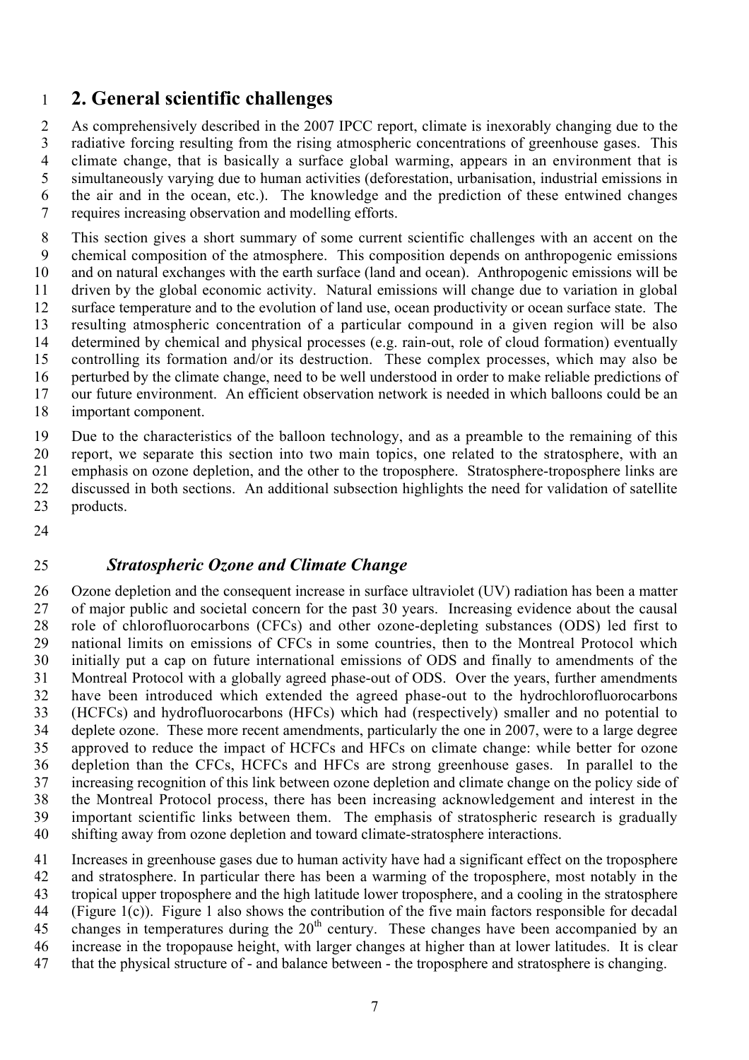# **2. General scientific challenges**

 As comprehensively described in the 2007 IPCC report, climate is inexorably changing due to the radiative forcing resulting from the rising atmospheric concentrations of greenhouse gases. This climate change, that is basically a surface global warming, appears in an environment that is simultaneously varying due to human activities (deforestation, urbanisation, industrial emissions in the air and in the ocean, etc.). The knowledge and the prediction of these entwined changes requires increasing observation and modelling efforts.

 This section gives a short summary of some current scientific challenges with an accent on the chemical composition of the atmosphere. This composition depends on anthropogenic emissions and on natural exchanges with the earth surface (land and ocean). Anthropogenic emissions will be driven by the global economic activity. Natural emissions will change due to variation in global surface temperature and to the evolution of land use, ocean productivity or ocean surface state. The resulting atmospheric concentration of a particular compound in a given region will be also determined by chemical and physical processes (e.g. rain-out, role of cloud formation) eventually controlling its formation and/or its destruction. These complex processes, which may also be perturbed by the climate change, need to be well understood in order to make reliable predictions of our future environment. An efficient observation network is needed in which balloons could be an important component.

 Due to the characteristics of the balloon technology, and as a preamble to the remaining of this report, we separate this section into two main topics, one related to the stratosphere, with an emphasis on ozone depletion, and the other to the troposphere. Stratosphere-troposphere links are discussed in both sections. An additional subsection highlights the need for validation of satellite products.

### *Stratospheric Ozone and Climate Change*

 Ozone depletion and the consequent increase in surface ultraviolet (UV) radiation has been a matter of major public and societal concern for the past 30 years. Increasing evidence about the causal role of chlorofluorocarbons (CFCs) and other ozone-depleting substances (ODS) led first to national limits on emissions of CFCs in some countries, then to the Montreal Protocol which initially put a cap on future international emissions of ODS and finally to amendments of the Montreal Protocol with a globally agreed phase-out of ODS. Over the years, further amendments have been introduced which extended the agreed phase-out to the hydrochlorofluorocarbons (HCFCs) and hydrofluorocarbons (HFCs) which had (respectively) smaller and no potential to deplete ozone. These more recent amendments, particularly the one in 2007, were to a large degree approved to reduce the impact of HCFCs and HFCs on climate change: while better for ozone depletion than the CFCs, HCFCs and HFCs are strong greenhouse gases. In parallel to the increasing recognition of this link between ozone depletion and climate change on the policy side of the Montreal Protocol process, there has been increasing acknowledgement and interest in the important scientific links between them. The emphasis of stratospheric research is gradually shifting away from ozone depletion and toward climate-stratosphere interactions.

 Increases in greenhouse gases due to human activity have had a significant effect on the troposphere and stratosphere. In particular there has been a warming of the troposphere, most notably in the tropical upper troposphere and the high latitude lower troposphere, and a cooling in the stratosphere (Figure 1(c)). Figure 1 also shows the contribution of the five main factors responsible for decadal 45 changes in temperatures during the  $20<sup>th</sup>$  century. These changes have been accompanied by an increase in the tropopause height, with larger changes at higher than at lower latitudes. It is clear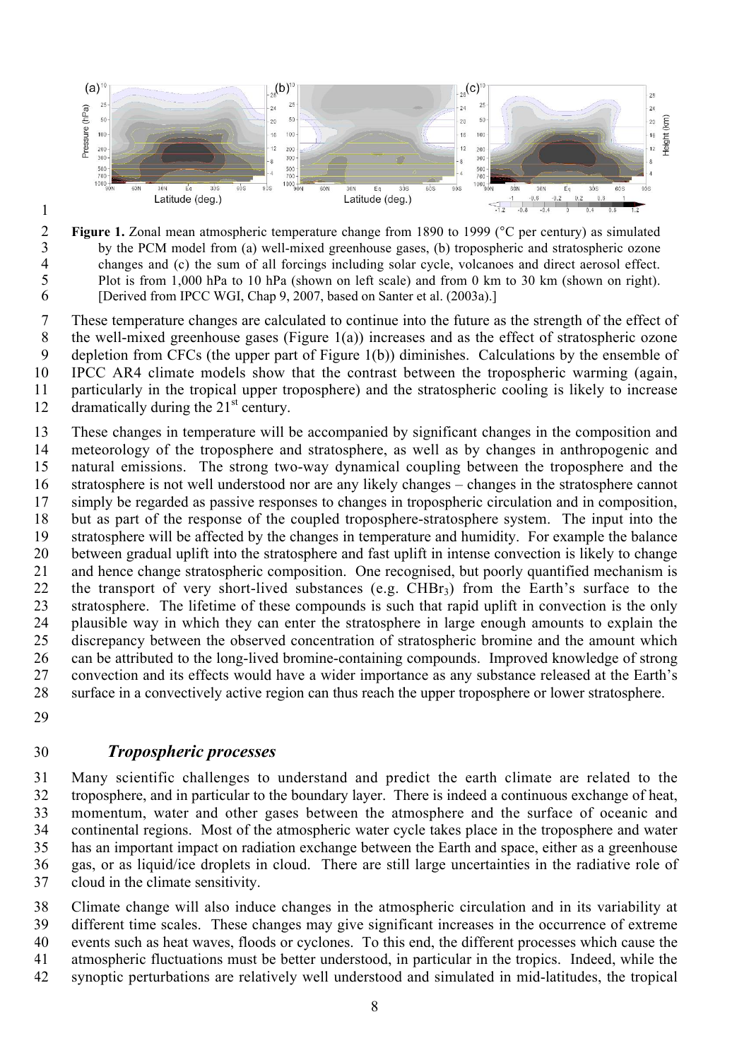

- 
- 

**Figure 1.** Zonal mean atmospheric temperature change from 1890 to 1999 (°C per century) as simulated<br>by the PCM model from (a) well-mixed greenhouse gases, (b) tropospheric and stratospheric ozone 3 by the PCM model from (a) well-mixed greenhouse gases, (b) tropospheric and stratospheric ozone changes and (c) the sum of all forcings including solar cycle, volcanoes and direct aerosol effect. changes and (c) the sum of all forcings including solar cycle, volcanoes and direct aerosol effect. 5 Plot is from 1,000 hPa to 10 hPa (shown on left scale) and from 0 km to 30 km (shown on right).<br>6 [Derived from IPCC WGI, Chap 9, 2007, based on Santer et al. (2003a).] [Derived from IPCC WGI, Chap 9, 2007, based on Santer et al. (2003a).]

 These temperature changes are calculated to continue into the future as the strength of the effect of the well-mixed greenhouse gases (Figure 1(a)) increases and as the effect of stratospheric ozone depletion from CFCs (the upper part of Figure 1(b)) diminishes. Calculations by the ensemble of IPCC AR4 climate models show that the contrast between the tropospheric warming (again, particularly in the tropical upper troposphere) and the stratospheric cooling is likely to increase  $\frac{12}{2}$  dramatically during the 21<sup>st</sup> century.

 These changes in temperature will be accompanied by significant changes in the composition and meteorology of the troposphere and stratosphere, as well as by changes in anthropogenic and natural emissions. The strong two-way dynamical coupling between the troposphere and the stratosphere is not well understood nor are any likely changes – changes in the stratosphere cannot simply be regarded as passive responses to changes in tropospheric circulation and in composition, but as part of the response of the coupled troposphere-stratosphere system. The input into the stratosphere will be affected by the changes in temperature and humidity. For example the balance between gradual uplift into the stratosphere and fast uplift in intense convection is likely to change and hence change stratospheric composition. One recognised, but poorly quantified mechanism is the transport of very short-lived substances (e.g. CHBr3) from the Earth's surface to the stratosphere. The lifetime of these compounds is such that rapid uplift in convection is the only plausible way in which they can enter the stratosphere in large enough amounts to explain the discrepancy between the observed concentration of stratospheric bromine and the amount which can be attributed to the long-lived bromine-containing compounds. Improved knowledge of strong convection and its effects would have a wider importance as any substance released at the Earth's surface in a convectively active region can thus reach the upper troposphere or lower stratosphere.

## *Tropospheric processes*

 Many scientific challenges to understand and predict the earth climate are related to the troposphere, and in particular to the boundary layer. There is indeed a continuous exchange of heat, momentum, water and other gases between the atmosphere and the surface of oceanic and continental regions. Most of the atmospheric water cycle takes place in the troposphere and water has an important impact on radiation exchange between the Earth and space, either as a greenhouse gas, or as liquid/ice droplets in cloud. There are still large uncertainties in the radiative role of cloud in the climate sensitivity.

 Climate change will also induce changes in the atmospheric circulation and in its variability at different time scales. These changes may give significant increases in the occurrence of extreme events such as heat waves, floods or cyclones. To this end, the different processes which cause the atmospheric fluctuations must be better understood, in particular in the tropics. Indeed, while the synoptic perturbations are relatively well understood and simulated in mid-latitudes, the tropical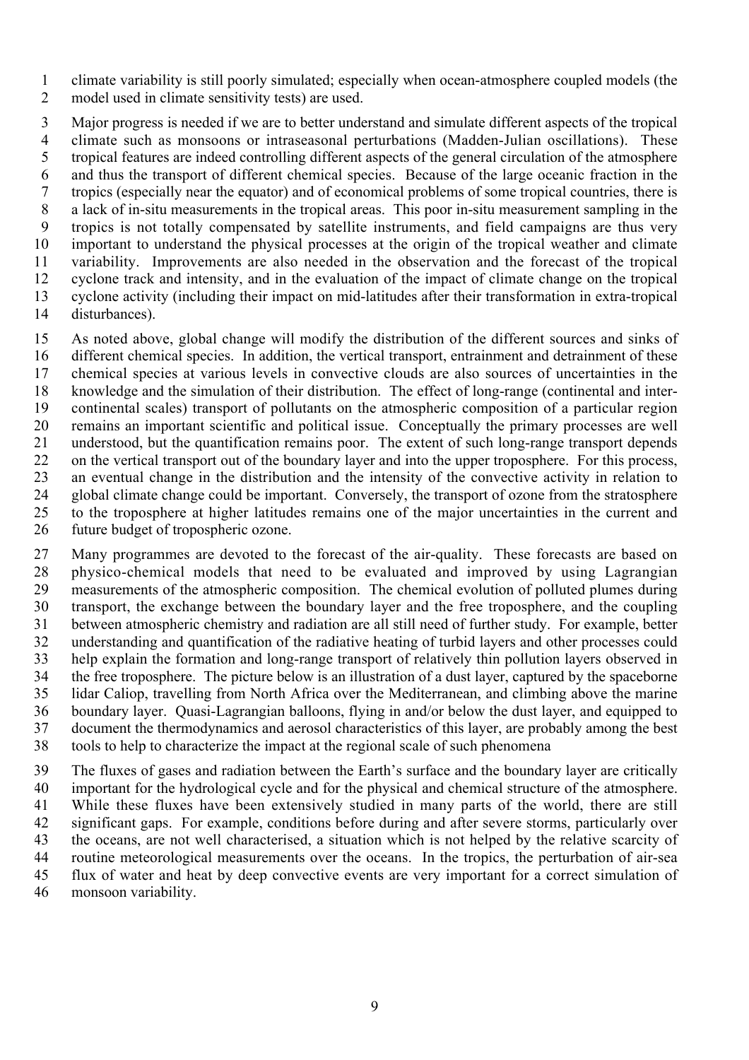climate variability is still poorly simulated; especially when ocean-atmosphere coupled models (the model used in climate sensitivity tests) are used.

 Major progress is needed if we are to better understand and simulate different aspects of the tropical climate such as monsoons or intraseasonal perturbations (Madden-Julian oscillations). These tropical features are indeed controlling different aspects of the general circulation of the atmosphere and thus the transport of different chemical species. Because of the large oceanic fraction in the tropics (especially near the equator) and of economical problems of some tropical countries, there is a lack of in-situ measurements in the tropical areas. This poor in-situ measurement sampling in the tropics is not totally compensated by satellite instruments, and field campaigns are thus very important to understand the physical processes at the origin of the tropical weather and climate variability. Improvements are also needed in the observation and the forecast of the tropical cyclone track and intensity, and in the evaluation of the impact of climate change on the tropical cyclone activity (including their impact on mid-latitudes after their transformation in extra-tropical disturbances).

 As noted above, global change will modify the distribution of the different sources and sinks of different chemical species. In addition, the vertical transport, entrainment and detrainment of these chemical species at various levels in convective clouds are also sources of uncertainties in the knowledge and the simulation of their distribution. The effect of long-range (continental and inter- continental scales) transport of pollutants on the atmospheric composition of a particular region remains an important scientific and political issue. Conceptually the primary processes are well understood, but the quantification remains poor. The extent of such long-range transport depends on the vertical transport out of the boundary layer and into the upper troposphere. For this process, an eventual change in the distribution and the intensity of the convective activity in relation to global climate change could be important. Conversely, the transport of ozone from the stratosphere to the troposphere at higher latitudes remains one of the major uncertainties in the current and future budget of tropospheric ozone.

 Many programmes are devoted to the forecast of the air-quality. These forecasts are based on physico-chemical models that need to be evaluated and improved by using Lagrangian measurements of the atmospheric composition. The chemical evolution of polluted plumes during transport, the exchange between the boundary layer and the free troposphere, and the coupling between atmospheric chemistry and radiation are all still need of further study. For example, better understanding and quantification of the radiative heating of turbid layers and other processes could help explain the formation and long-range transport of relatively thin pollution layers observed in the free troposphere. The picture below is an illustration of a dust layer, captured by the spaceborne lidar Caliop, travelling from North Africa over the Mediterranean, and climbing above the marine boundary layer. Quasi-Lagrangian balloons, flying in and/or below the dust layer, and equipped to document the thermodynamics and aerosol characteristics of this layer, are probably among the best tools to help to characterize the impact at the regional scale of such phenomena

 The fluxes of gases and radiation between the Earth's surface and the boundary layer are critically important for the hydrological cycle and for the physical and chemical structure of the atmosphere. While these fluxes have been extensively studied in many parts of the world, there are still significant gaps. For example, conditions before during and after severe storms, particularly over the oceans, are not well characterised, a situation which is not helped by the relative scarcity of routine meteorological measurements over the oceans. In the tropics, the perturbation of air-sea flux of water and heat by deep convective events are very important for a correct simulation of monsoon variability.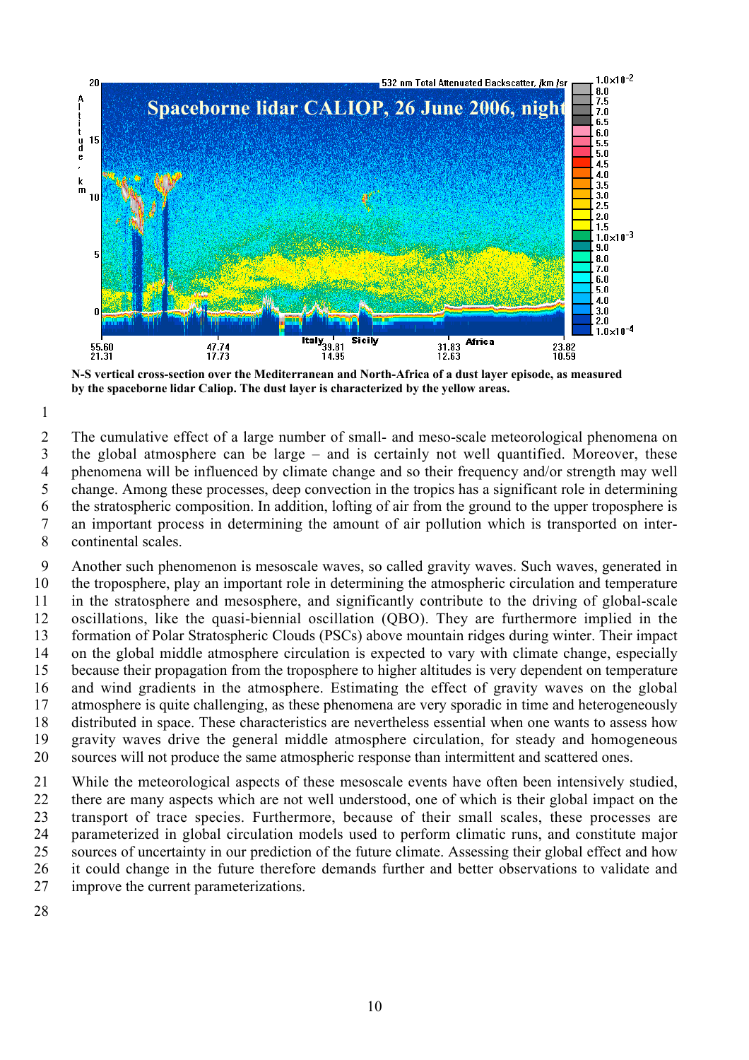

**N-S vertical cross-section over the Mediterranean and North-Africa of a dust layer episode, as measured by the spaceborne lidar Caliop. The dust layer is characterized by the yellow areas.**

 The cumulative effect of a large number of small- and meso-scale meteorological phenomena on the global atmosphere can be large – and is certainly not well quantified. Moreover, these phenomena will be influenced by climate change and so their frequency and/or strength may well change. Among these processes, deep convection in the tropics has a significant role in determining the stratospheric composition. In addition, lofting of air from the ground to the upper troposphere is an important process in determining the amount of air pollution which is transported on inter-continental scales.

 Another such phenomenon is mesoscale waves, so called gravity waves. Such waves, generated in the troposphere, play an important role in determining the atmospheric circulation and temperature in the stratosphere and mesosphere, and significantly contribute to the driving of global-scale oscillations, like the quasi-biennial oscillation (QBO). They are furthermore implied in the formation of Polar Stratospheric Clouds (PSCs) above mountain ridges during winter. Their impact on the global middle atmosphere circulation is expected to vary with climate change, especially because their propagation from the troposphere to higher altitudes is very dependent on temperature and wind gradients in the atmosphere. Estimating the effect of gravity waves on the global atmosphere is quite challenging, as these phenomena are very sporadic in time and heterogeneously distributed in space. These characteristics are nevertheless essential when one wants to assess how gravity waves drive the general middle atmosphere circulation, for steady and homogeneous sources will not produce the same atmospheric response than intermittent and scattered ones.

 While the meteorological aspects of these mesoscale events have often been intensively studied, there are many aspects which are not well understood, one of which is their global impact on the transport of trace species. Furthermore, because of their small scales, these processes are parameterized in global circulation models used to perform climatic runs, and constitute major sources of uncertainty in our prediction of the future climate. Assessing their global effect and how it could change in the future therefore demands further and better observations to validate and improve the current parameterizations.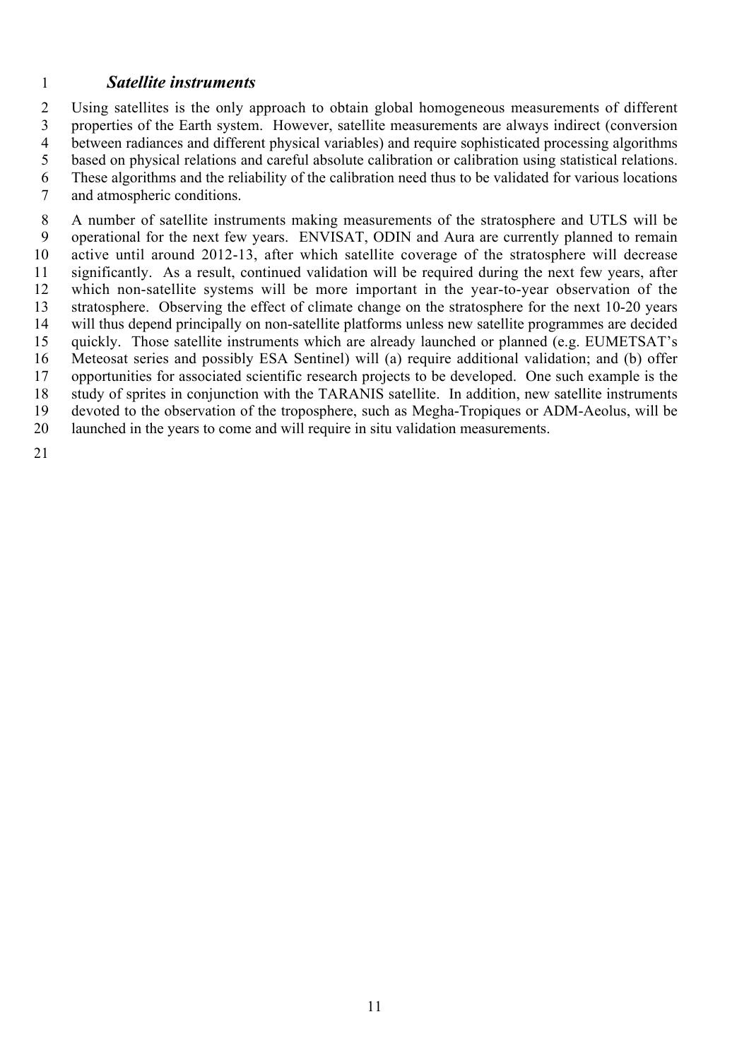### *Satellite instruments*

 Using satellites is the only approach to obtain global homogeneous measurements of different properties of the Earth system. However, satellite measurements are always indirect (conversion between radiances and different physical variables) and require sophisticated processing algorithms based on physical relations and careful absolute calibration or calibration using statistical relations. These algorithms and the reliability of the calibration need thus to be validated for various locations and atmospheric conditions.

 A number of satellite instruments making measurements of the stratosphere and UTLS will be operational for the next few years. ENVISAT, ODIN and Aura are currently planned to remain active until around 2012-13, after which satellite coverage of the stratosphere will decrease significantly. As a result, continued validation will be required during the next few years, after which non-satellite systems will be more important in the year-to-year observation of the stratosphere. Observing the effect of climate change on the stratosphere for the next 10-20 years will thus depend principally on non-satellite platforms unless new satellite programmes are decided quickly. Those satellite instruments which are already launched or planned (e.g. EUMETSAT's Meteosat series and possibly ESA Sentinel) will (a) require additional validation; and (b) offer opportunities for associated scientific research projects to be developed. One such example is the study of sprites in conjunction with the TARANIS satellite. In addition, new satellite instruments devoted to the observation of the troposphere, such as Megha-Tropiques or ADM-Aeolus, will be launched in the years to come and will require in situ validation measurements.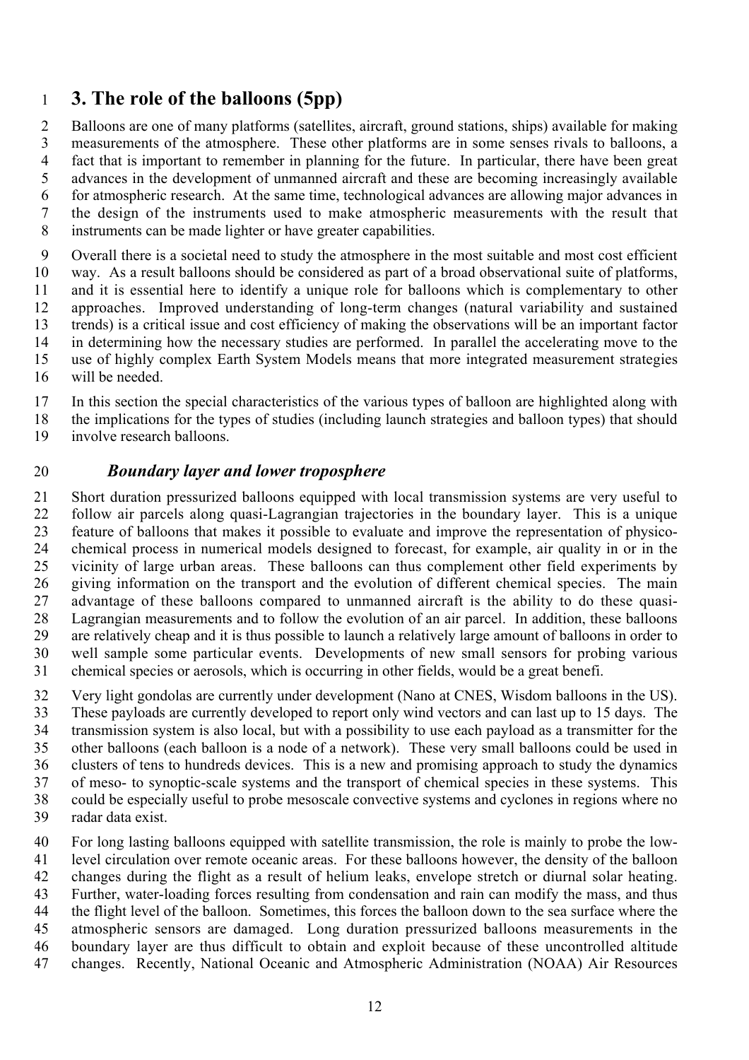# **3. The role of the balloons (5pp)**

 Balloons are one of many platforms (satellites, aircraft, ground stations, ships) available for making measurements of the atmosphere. These other platforms are in some senses rivals to balloons, a fact that is important to remember in planning for the future. In particular, there have been great advances in the development of unmanned aircraft and these are becoming increasingly available for atmospheric research. At the same time, technological advances are allowing major advances in the design of the instruments used to make atmospheric measurements with the result that instruments can be made lighter or have greater capabilities.

 Overall there is a societal need to study the atmosphere in the most suitable and most cost efficient way. As a result balloons should be considered as part of a broad observational suite of platforms, and it is essential here to identify a unique role for balloons which is complementary to other approaches. Improved understanding of long-term changes (natural variability and sustained trends) is a critical issue and cost efficiency of making the observations will be an important factor in determining how the necessary studies are performed. In parallel the accelerating move to the use of highly complex Earth System Models means that more integrated measurement strategies will be needed.

In this section the special characteristics of the various types of balloon are highlighted along with

 the implications for the types of studies (including launch strategies and balloon types) that should involve research balloons.

#### *Boundary layer and lower troposphere*

 Short duration pressurized balloons equipped with local transmission systems are very useful to follow air parcels along quasi-Lagrangian trajectories in the boundary layer. This is a unique feature of balloons that makes it possible to evaluate and improve the representation of physico- chemical process in numerical models designed to forecast, for example, air quality in or in the vicinity of large urban areas. These balloons can thus complement other field experiments by giving information on the transport and the evolution of different chemical species. The main advantage of these balloons compared to unmanned aircraft is the ability to do these quasi- Lagrangian measurements and to follow the evolution of an air parcel. In addition, these balloons are relatively cheap and it is thus possible to launch a relatively large amount of balloons in order to well sample some particular events. Developments of new small sensors for probing various chemical species or aerosols, which is occurring in other fields, would be a great benefi.

 Very light gondolas are currently under development (Nano at CNES, Wisdom balloons in the US). These payloads are currently developed to report only wind vectors and can last up to 15 days. The transmission system is also local, but with a possibility to use each payload as a transmitter for the other balloons (each balloon is a node of a network). These very small balloons could be used in clusters of tens to hundreds devices. This is a new and promising approach to study the dynamics of meso- to synoptic-scale systems and the transport of chemical species in these systems. This could be especially useful to probe mesoscale convective systems and cyclones in regions where no radar data exist.

 For long lasting balloons equipped with satellite transmission, the role is mainly to probe the low- level circulation over remote oceanic areas. For these balloons however, the density of the balloon changes during the flight as a result of helium leaks, envelope stretch or diurnal solar heating. Further, water-loading forces resulting from condensation and rain can modify the mass, and thus the flight level of the balloon. Sometimes, this forces the balloon down to the sea surface where the atmospheric sensors are damaged. Long duration pressurized balloons measurements in the boundary layer are thus difficult to obtain and exploit because of these uncontrolled altitude changes. Recently, National Oceanic and Atmospheric Administration (NOAA) Air Resources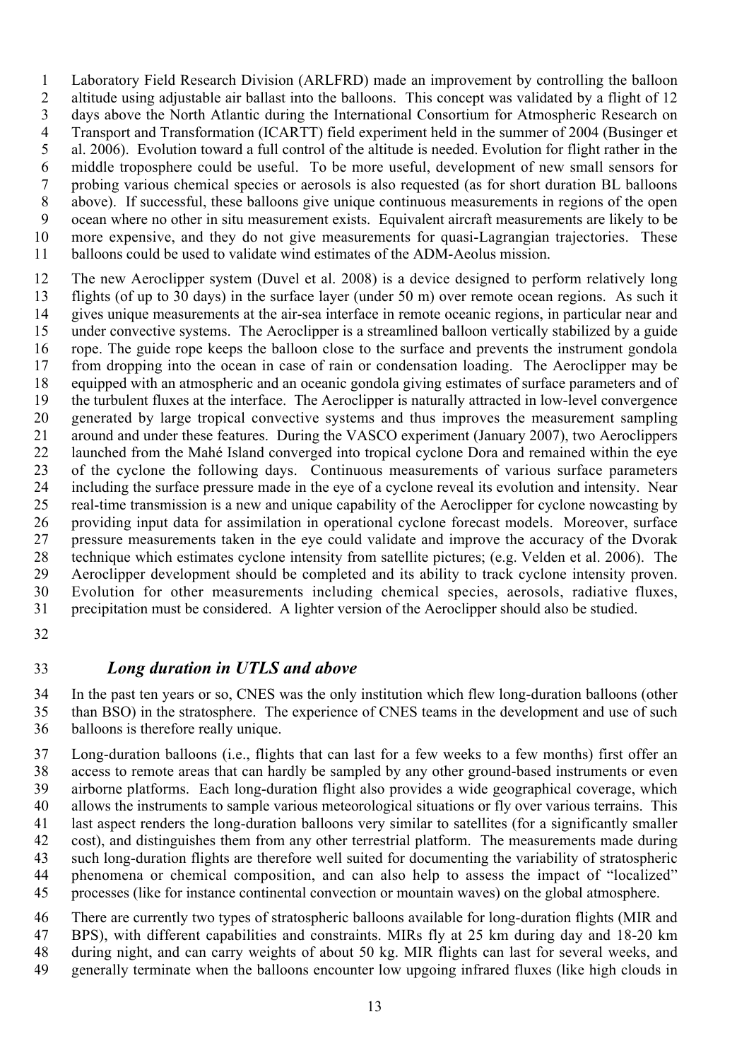Laboratory Field Research Division (ARLFRD) made an improvement by controlling the balloon altitude using adjustable air ballast into the balloons. This concept was validated by a flight of 12 days above the North Atlantic during the International Consortium for Atmospheric Research on Transport and Transformation (ICARTT) field experiment held in the summer of 2004 (Businger et al. 2006). Evolution toward a full control of the altitude is needed. Evolution for flight rather in the middle troposphere could be useful. To be more useful, development of new small sensors for probing various chemical species or aerosols is also requested (as for short duration BL balloons above). If successful, these balloons give unique continuous measurements in regions of the open ocean where no other in situ measurement exists. Equivalent aircraft measurements are likely to be more expensive, and they do not give measurements for quasi-Lagrangian trajectories. These balloons could be used to validate wind estimates of the ADM-Aeolus mission.

 The new Aeroclipper system (Duvel et al. 2008) is a device designed to perform relatively long flights (of up to 30 days) in the surface layer (under 50 m) over remote ocean regions. As such it gives unique measurements at the air-sea interface in remote oceanic regions, in particular near and under convective systems. The Aeroclipper is a streamlined balloon vertically stabilized by a guide rope. The guide rope keeps the balloon close to the surface and prevents the instrument gondola from dropping into the ocean in case of rain or condensation loading. The Aeroclipper may be equipped with an atmospheric and an oceanic gondola giving estimates of surface parameters and of the turbulent fluxes at the interface. The Aeroclipper is naturally attracted in low-level convergence generated by large tropical convective systems and thus improves the measurement sampling around and under these features. During the VASCO experiment (January 2007), two Aeroclippers launched from the Mahé Island converged into tropical cyclone Dora and remained within the eye of the cyclone the following days. Continuous measurements of various surface parameters including the surface pressure made in the eye of a cyclone reveal its evolution and intensity. Near real-time transmission is a new and unique capability of the Aeroclipper for cyclone nowcasting by providing input data for assimilation in operational cyclone forecast models. Moreover, surface pressure measurements taken in the eye could validate and improve the accuracy of the Dvorak technique which estimates cyclone intensity from satellite pictures; (e.g. Velden et al. 2006). The Aeroclipper development should be completed and its ability to track cyclone intensity proven. Evolution for other measurements including chemical species, aerosols, radiative fluxes, precipitation must be considered. A lighter version of the Aeroclipper should also be studied.

### *Long duration in UTLS and above*

 In the past ten years or so, CNES was the only institution which flew long-duration balloons (other than BSO) in the stratosphere. The experience of CNES teams in the development and use of such balloons is therefore really unique.

 Long-duration balloons (i.e., flights that can last for a few weeks to a few months) first offer an access to remote areas that can hardly be sampled by any other ground-based instruments or even airborne platforms. Each long-duration flight also provides a wide geographical coverage, which allows the instruments to sample various meteorological situations or fly over various terrains. This last aspect renders the long-duration balloons very similar to satellites (for a significantly smaller cost), and distinguishes them from any other terrestrial platform. The measurements made during such long-duration flights are therefore well suited for documenting the variability of stratospheric phenomena or chemical composition, and can also help to assess the impact of "localized" processes (like for instance continental convection or mountain waves) on the global atmosphere.

 There are currently two types of stratospheric balloons available for long-duration flights (MIR and BPS), with different capabilities and constraints. MIRs fly at 25 km during day and 18-20 km during night, and can carry weights of about 50 kg. MIR flights can last for several weeks, and generally terminate when the balloons encounter low upgoing infrared fluxes (like high clouds in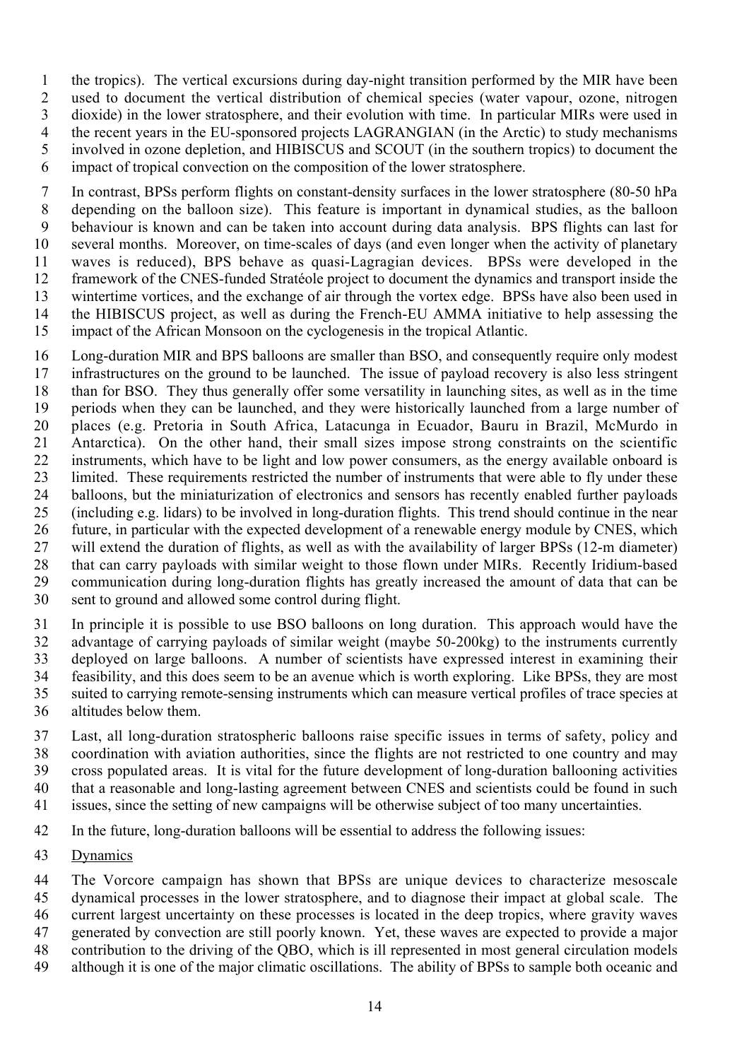the tropics). The vertical excursions during day-night transition performed by the MIR have been used to document the vertical distribution of chemical species (water vapour, ozone, nitrogen dioxide) in the lower stratosphere, and their evolution with time. In particular MIRs were used in the recent years in the EU-sponsored projects LAGRANGIAN (in the Arctic) to study mechanisms involved in ozone depletion, and HIBISCUS and SCOUT (in the southern tropics) to document the impact of tropical convection on the composition of the lower stratosphere.

 In contrast, BPSs perform flights on constant-density surfaces in the lower stratosphere (80-50 hPa depending on the balloon size). This feature is important in dynamical studies, as the balloon behaviour is known and can be taken into account during data analysis. BPS flights can last for several months. Moreover, on time-scales of days (and even longer when the activity of planetary waves is reduced), BPS behave as quasi-Lagragian devices. BPSs were developed in the framework of the CNES-funded Stratéole project to document the dynamics and transport inside the wintertime vortices, and the exchange of air through the vortex edge. BPSs have also been used in the HIBISCUS project, as well as during the French-EU AMMA initiative to help assessing the impact of the African Monsoon on the cyclogenesis in the tropical Atlantic.

 Long-duration MIR and BPS balloons are smaller than BSO, and consequently require only modest infrastructures on the ground to be launched. The issue of payload recovery is also less stringent than for BSO. They thus generally offer some versatility in launching sites, as well as in the time periods when they can be launched, and they were historically launched from a large number of places (e.g. Pretoria in South Africa, Latacunga in Ecuador, Bauru in Brazil, McMurdo in Antarctica). On the other hand, their small sizes impose strong constraints on the scientific instruments, which have to be light and low power consumers, as the energy available onboard is limited. These requirements restricted the number of instruments that were able to fly under these balloons, but the miniaturization of electronics and sensors has recently enabled further payloads (including e.g. lidars) to be involved in long-duration flights. This trend should continue in the near future, in particular with the expected development of a renewable energy module by CNES, which will extend the duration of flights, as well as with the availability of larger BPSs (12-m diameter) that can carry payloads with similar weight to those flown under MIRs. Recently Iridium-based communication during long-duration flights has greatly increased the amount of data that can be sent to ground and allowed some control during flight.

 In principle it is possible to use BSO balloons on long duration. This approach would have the advantage of carrying payloads of similar weight (maybe 50-200kg) to the instruments currently deployed on large balloons. A number of scientists have expressed interest in examining their feasibility, and this does seem to be an avenue which is worth exploring. Like BPSs, they are most suited to carrying remote-sensing instruments which can measure vertical profiles of trace species at altitudes below them.

 Last, all long-duration stratospheric balloons raise specific issues in terms of safety, policy and coordination with aviation authorities, since the flights are not restricted to one country and may cross populated areas. It is vital for the future development of long-duration ballooning activities that a reasonable and long-lasting agreement between CNES and scientists could be found in such issues, since the setting of new campaigns will be otherwise subject of too many uncertainties.

In the future, long-duration balloons will be essential to address the following issues:

Dynamics

The Vorcore campaign has shown that BPSs are unique devices to characterize mesoscale

dynamical processes in the lower stratosphere, and to diagnose their impact at global scale. The

current largest uncertainty on these processes is located in the deep tropics, where gravity waves

generated by convection are still poorly known. Yet, these waves are expected to provide a major

- contribution to the driving of the QBO, which is ill represented in most general circulation models
- although it is one of the major climatic oscillations. The ability of BPSs to sample both oceanic and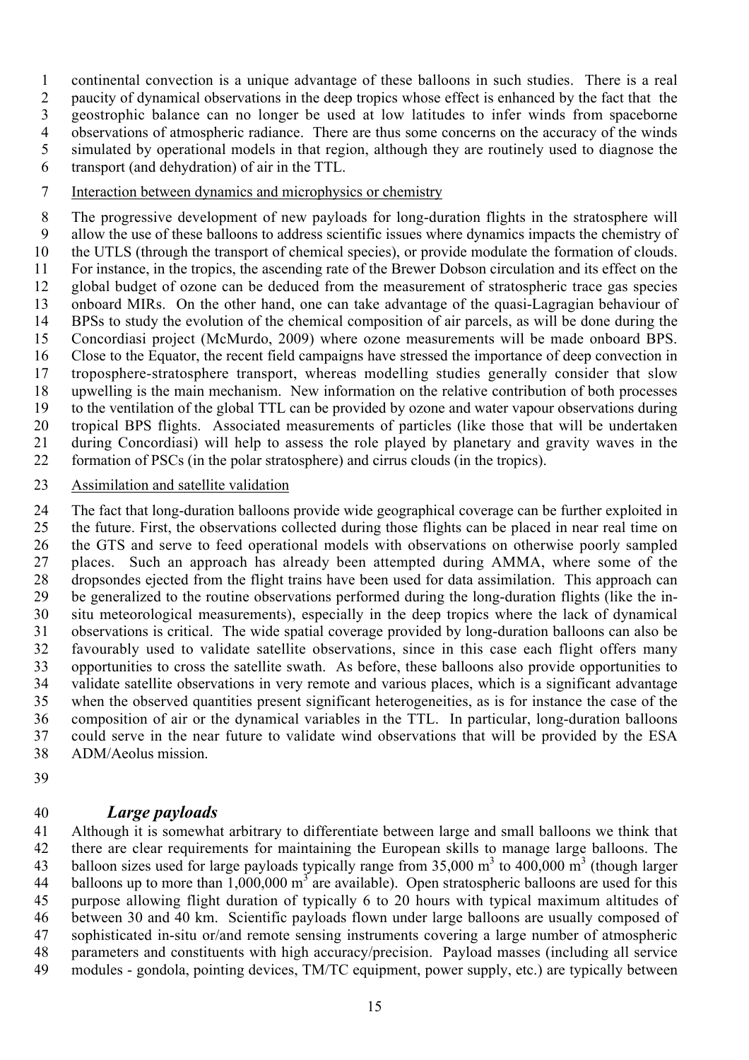continental convection is a unique advantage of these balloons in such studies. There is a real paucity of dynamical observations in the deep tropics whose effect is enhanced by the fact that the geostrophic balance can no longer be used at low latitudes to infer winds from spaceborne observations of atmospheric radiance. There are thus some concerns on the accuracy of the winds simulated by operational models in that region, although they are routinely used to diagnose the transport (and dehydration) of air in the TTL.

Interaction between dynamics and microphysics or chemistry

 The progressive development of new payloads for long-duration flights in the stratosphere will allow the use of these balloons to address scientific issues where dynamics impacts the chemistry of the UTLS (through the transport of chemical species), or provide modulate the formation of clouds. For instance, in the tropics, the ascending rate of the Brewer Dobson circulation and its effect on the global budget of ozone can be deduced from the measurement of stratospheric trace gas species onboard MIRs. On the other hand, one can take advantage of the quasi-Lagragian behaviour of BPSs to study the evolution of the chemical composition of air parcels, as will be done during the Concordiasi project (McMurdo, 2009) where ozone measurements will be made onboard BPS. Close to the Equator, the recent field campaigns have stressed the importance of deep convection in troposphere-stratosphere transport, whereas modelling studies generally consider that slow upwelling is the main mechanism. New information on the relative contribution of both processes to the ventilation of the global TTL can be provided by ozone and water vapour observations during tropical BPS flights. Associated measurements of particles (like those that will be undertaken during Concordiasi) will help to assess the role played by planetary and gravity waves in the formation of PSCs (in the polar stratosphere) and cirrus clouds (in the tropics).

Assimilation and satellite validation

 The fact that long-duration balloons provide wide geographical coverage can be further exploited in the future. First, the observations collected during those flights can be placed in near real time on the GTS and serve to feed operational models with observations on otherwise poorly sampled places. Such an approach has already been attempted during AMMA, where some of the dropsondes ejected from the flight trains have been used for data assimilation. This approach can be generalized to the routine observations performed during the long-duration flights (like the in- situ meteorological measurements), especially in the deep tropics where the lack of dynamical observations is critical. The wide spatial coverage provided by long-duration balloons can also be favourably used to validate satellite observations, since in this case each flight offers many opportunities to cross the satellite swath. As before, these balloons also provide opportunities to validate satellite observations in very remote and various places, which is a significant advantage when the observed quantities present significant heterogeneities, as is for instance the case of the composition of air or the dynamical variables in the TTL. In particular, long-duration balloons could serve in the near future to validate wind observations that will be provided by the ESA ADM/Aeolus mission.

## *Large payloads*

 Although it is somewhat arbitrary to differentiate between large and small balloons we think that there are clear requirements for maintaining the European skills to manage large balloons. The 43 balloon sizes used for large payloads typically range from  $35,000 \text{ m}^3$  to  $400,000 \text{ m}^3$  (though larger 44 balloons up to more than  $1,000,000 \text{ m}^3$  are available). Open stratospheric balloons are used for this purpose allowing flight duration of typically 6 to 20 hours with typical maximum altitudes of between 30 and 40 km. Scientific payloads flown under large balloons are usually composed of sophisticated in-situ or/and remote sensing instruments covering a large number of atmospheric parameters and constituents with high accuracy/precision. Payload masses (including all service modules - gondola, pointing devices, TM/TC equipment, power supply, etc.) are typically between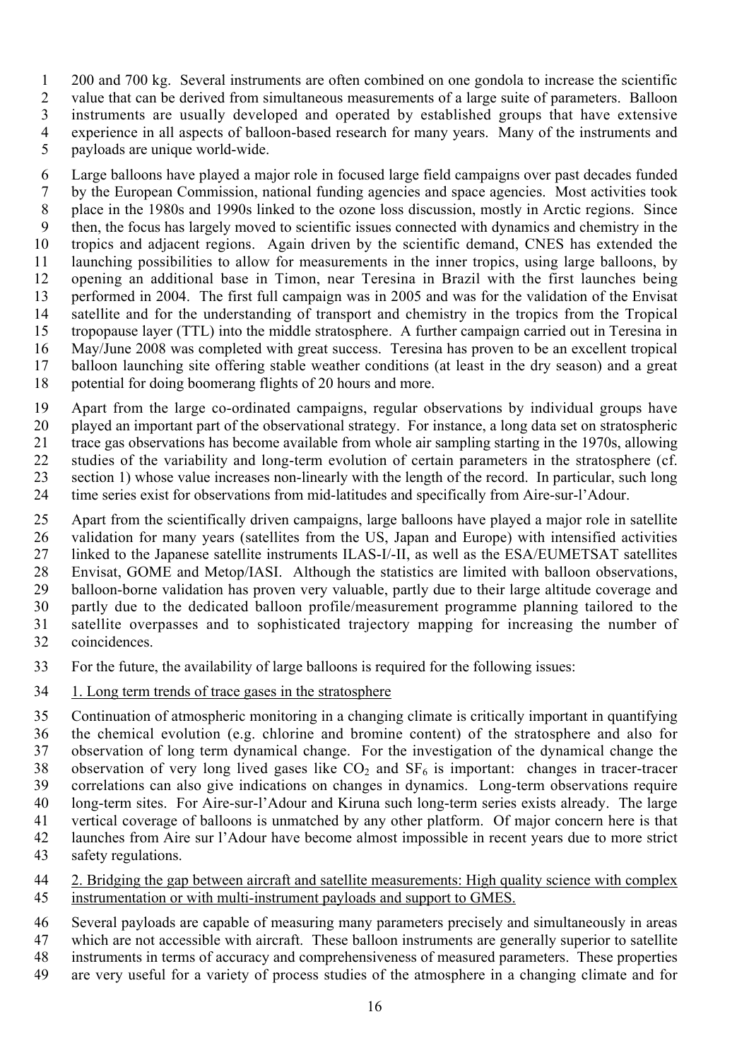200 and 700 kg. Several instruments are often combined on one gondola to increase the scientific value that can be derived from simultaneous measurements of a large suite of parameters. Balloon instruments are usually developed and operated by established groups that have extensive experience in all aspects of balloon-based research for many years. Many of the instruments and payloads are unique world-wide.

 Large balloons have played a major role in focused large field campaigns over past decades funded by the European Commission, national funding agencies and space agencies. Most activities took place in the 1980s and 1990s linked to the ozone loss discussion, mostly in Arctic regions. Since then, the focus has largely moved to scientific issues connected with dynamics and chemistry in the tropics and adjacent regions. Again driven by the scientific demand, CNES has extended the launching possibilities to allow for measurements in the inner tropics, using large balloons, by opening an additional base in Timon, near Teresina in Brazil with the first launches being performed in 2004. The first full campaign was in 2005 and was for the validation of the Envisat satellite and for the understanding of transport and chemistry in the tropics from the Tropical tropopause layer (TTL) into the middle stratosphere. A further campaign carried out in Teresina in May/June 2008 was completed with great success. Teresina has proven to be an excellent tropical balloon launching site offering stable weather conditions (at least in the dry season) and a great potential for doing boomerang flights of 20 hours and more.

 Apart from the large co-ordinated campaigns, regular observations by individual groups have played an important part of the observational strategy. For instance, a long data set on stratospheric trace gas observations has become available from whole air sampling starting in the 1970s, allowing studies of the variability and long-term evolution of certain parameters in the stratosphere (cf. section 1) whose value increases non-linearly with the length of the record. In particular, such long

time series exist for observations from mid-latitudes and specifically from Aire-sur-l'Adour.

 Apart from the scientifically driven campaigns, large balloons have played a major role in satellite validation for many years (satellites from the US, Japan and Europe) with intensified activities linked to the Japanese satellite instruments ILAS-I/-II, as well as the ESA/EUMETSAT satellites Envisat, GOME and Metop/IASI. Although the statistics are limited with balloon observations, balloon-borne validation has proven very valuable, partly due to their large altitude coverage and partly due to the dedicated balloon profile/measurement programme planning tailored to the satellite overpasses and to sophisticated trajectory mapping for increasing the number of coincidences.

For the future, the availability of large balloons is required for the following issues:

1. Long term trends of trace gases in the stratosphere

 Continuation of atmospheric monitoring in a changing climate is critically important in quantifying the chemical evolution (e.g. chlorine and bromine content) of the stratosphere and also for observation of long term dynamical change. For the investigation of the dynamical change the 38 observation of very long lived gases like  $CO<sub>2</sub>$  and  $SF<sub>6</sub>$  is important: changes in tracer-tracer correlations can also give indications on changes in dynamics. Long-term observations require long-term sites. For Aire-sur-l'Adour and Kiruna such long-term series exists already. The large vertical coverage of balloons is unmatched by any other platform. Of major concern here is that launches from Aire sur l'Adour have become almost impossible in recent years due to more strict safety regulations.

 2. Bridging the gap between aircraft and satellite measurements: High quality science with complex instrumentation or with multi-instrument payloads and support to GMES.

 Several payloads are capable of measuring many parameters precisely and simultaneously in areas which are not accessible with aircraft. These balloon instruments are generally superior to satellite instruments in terms of accuracy and comprehensiveness of measured parameters. These properties

are very useful for a variety of process studies of the atmosphere in a changing climate and for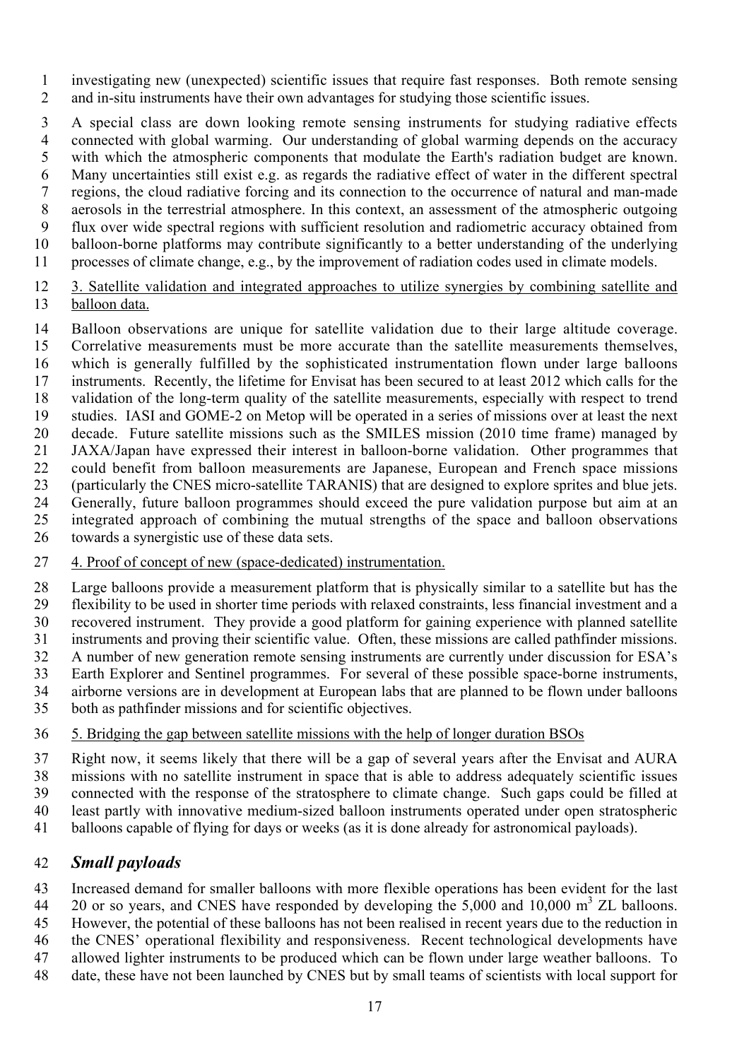investigating new (unexpected) scientific issues that require fast responses. Both remote sensing and in-situ instruments have their own advantages for studying those scientific issues.

 A special class are down looking remote sensing instruments for studying radiative effects connected with global warming. Our understanding of global warming depends on the accuracy with which the atmospheric components that modulate the Earth's radiation budget are known. Many uncertainties still exist e.g. as regards the radiative effect of water in the different spectral regions, the cloud radiative forcing and its connection to the occurrence of natural and man-made aerosols in the terrestrial atmosphere. In this context, an assessment of the atmospheric outgoing flux over wide spectral regions with sufficient resolution and radiometric accuracy obtained from balloon-borne platforms may contribute significantly to a better understanding of the underlying processes of climate change, e.g., by the improvement of radiation codes used in climate models.

#### 3. Satellite validation and integrated approaches to utilize synergies by combining satellite and balloon data.

Balloon observations are unique for satellite validation due to their large altitude coverage.

- Correlative measurements must be more accurate than the satellite measurements themselves, which is generally fulfilled by the sophisticated instrumentation flown under large balloons instruments. Recently, the lifetime for Envisat has been secured to at least 2012 which calls for the validation of the long-term quality of the satellite measurements, especially with respect to trend studies. IASI and GOME-2 on Metop will be operated in a series of missions over at least the next decade. Future satellite missions such as the SMILES mission (2010 time frame) managed by JAXA/Japan have expressed their interest in balloon-borne validation. Other programmes that could benefit from balloon measurements are Japanese, European and French space missions (particularly the CNES micro-satellite TARANIS) that are designed to explore sprites and blue jets. Generally, future balloon programmes should exceed the pure validation purpose but aim at an integrated approach of combining the mutual strengths of the space and balloon observations
- towards a synergistic use of these data sets.
- 4. Proof of concept of new (space-dedicated) instrumentation.

 Large balloons provide a measurement platform that is physically similar to a satellite but has the flexibility to be used in shorter time periods with relaxed constraints, less financial investment and a recovered instrument. They provide a good platform for gaining experience with planned satellite instruments and proving their scientific value. Often, these missions are called pathfinder missions. A number of new generation remote sensing instruments are currently under discussion for ESA's Earth Explorer and Sentinel programmes. For several of these possible space-borne instruments, airborne versions are in development at European labs that are planned to be flown under balloons both as pathfinder missions and for scientific objectives.

### 5. Bridging the gap between satellite missions with the help of longer duration BSOs

 Right now, it seems likely that there will be a gap of several years after the Envisat and AURA missions with no satellite instrument in space that is able to address adequately scientific issues connected with the response of the stratosphere to climate change. Such gaps could be filled at least partly with innovative medium-sized balloon instruments operated under open stratospheric balloons capable of flying for days or weeks (as it is done already for astronomical payloads).

## *Small payloads*

Increased demand for smaller balloons with more flexible operations has been evident for the last

- 20 or so years, and CNES have responded by developing the 5,000 and 10,000  $\text{m}^3$  ZL balloons.
- However, the potential of these balloons has not been realised in recent years due to the reduction in the CNES' operational flexibility and responsiveness. Recent technological developments have
- allowed lighter instruments to be produced which can be flown under large weather balloons. To
- date, these have not been launched by CNES but by small teams of scientists with local support for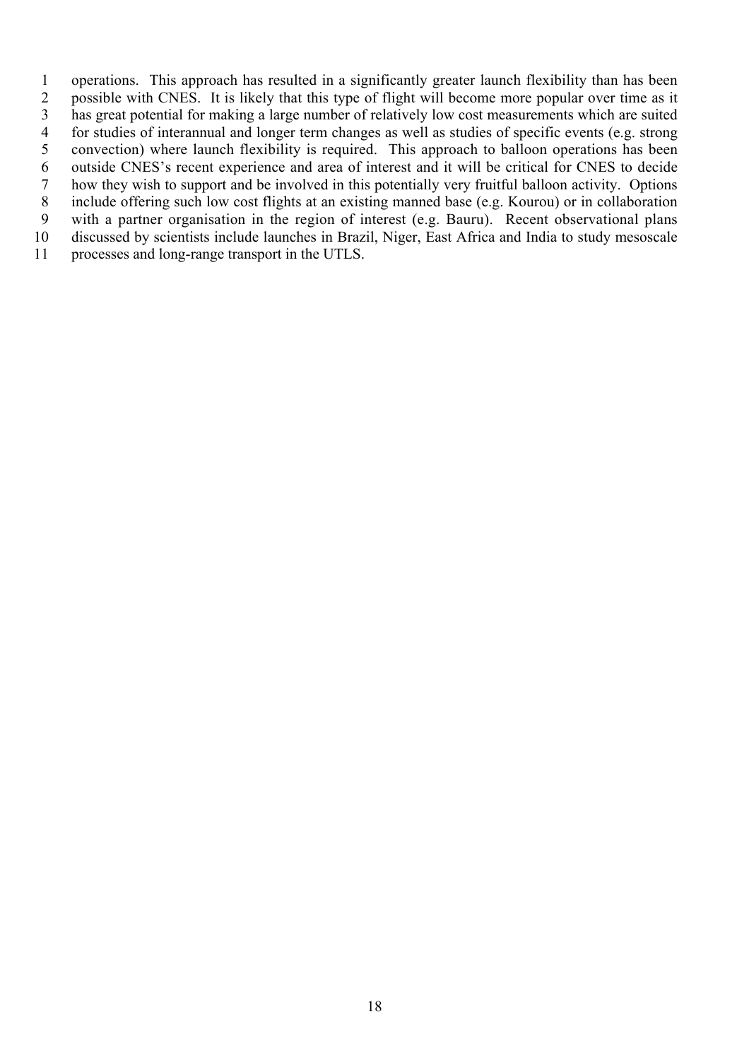operations. This approach has resulted in a significantly greater launch flexibility than has been possible with CNES. It is likely that this type of flight will become more popular over time as it has great potential for making a large number of relatively low cost measurements which are suited for studies of interannual and longer term changes as well as studies of specific events (e.g. strong convection) where launch flexibility is required. This approach to balloon operations has been outside CNES's recent experience and area of interest and it will be critical for CNES to decide how they wish to support and be involved in this potentially very fruitful balloon activity. Options include offering such low cost flights at an existing manned base (e.g. Kourou) or in collaboration with a partner organisation in the region of interest (e.g. Bauru). Recent observational plans discussed by scientists include launches in Brazil, Niger, East Africa and India to study mesoscale processes and long-range transport in the UTLS.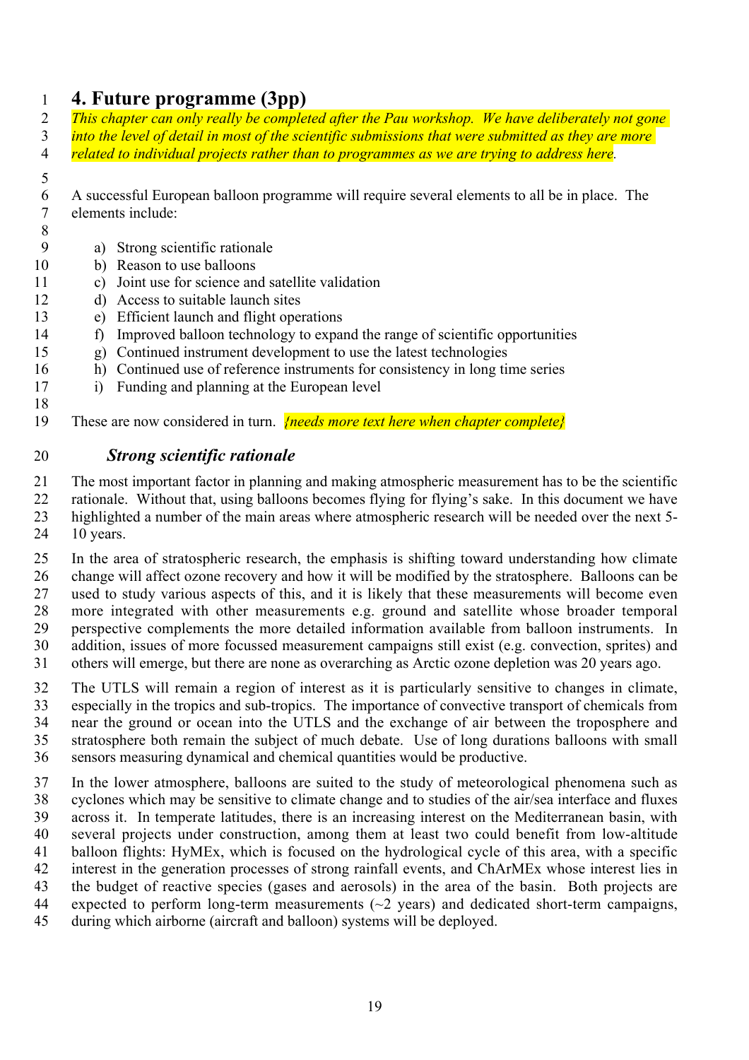# **4. Future programme (3pp)**

 *This chapter can only really be completed after the Pau workshop. We have deliberately not gone into the level of detail in most of the scientific submissions that were submitted as they are more related to individual projects rather than to programmes as we are trying to address here.*

- 
- A successful European balloon programme will require several elements to all be in place. The elements include:
- 
- a) Strong scientific rationale
- b) Reason to use balloons
- c) Joint use for science and satellite validation
- d) Access to suitable launch sites
- e) Efficient launch and flight operations
- f) Improved balloon technology to expand the range of scientific opportunities
- g) Continued instrument development to use the latest technologies
- h) Continued use of reference instruments for consistency in long time series
- i) Funding and planning at the European level
- 
- These are now considered in turn. *{needs more text here when chapter complete}*

# *Strong scientific rationale*

The most important factor in planning and making atmospheric measurement has to be the scientific

- rationale. Without that, using balloons becomes flying for flying's sake. In this document we have highlighted a number of the main areas where atmospheric research will be needed over the next 5- 10 years.
- In the area of stratospheric research, the emphasis is shifting toward understanding how climate change will affect ozone recovery and how it will be modified by the stratosphere. Balloons can be used to study various aspects of this, and it is likely that these measurements will become even more integrated with other measurements e.g. ground and satellite whose broader temporal perspective complements the more detailed information available from balloon instruments. In addition, issues of more focussed measurement campaigns still exist (e.g. convection, sprites) and others will emerge, but there are none as overarching as Arctic ozone depletion was 20 years ago.
- The UTLS will remain a region of interest as it is particularly sensitive to changes in climate, especially in the tropics and sub-tropics. The importance of convective transport of chemicals from near the ground or ocean into the UTLS and the exchange of air between the troposphere and stratosphere both remain the subject of much debate. Use of long durations balloons with small sensors measuring dynamical and chemical quantities would be productive.
- In the lower atmosphere, balloons are suited to the study of meteorological phenomena such as cyclones which may be sensitive to climate change and to studies of the air/sea interface and fluxes across it. In temperate latitudes, there is an increasing interest on the Mediterranean basin, with several projects under construction, among them at least two could benefit from low-altitude balloon flights: HyMEx, which is focused on the hydrological cycle of this area, with a specific interest in the generation processes of strong rainfall events, and ChArMEx whose interest lies in the budget of reactive species (gases and aerosols) in the area of the basin. Both projects are 44 expected to perform long-term measurements  $(\sim 2 \text{ years})$  and dedicated short-term campaigns, during which airborne (aircraft and balloon) systems will be deployed.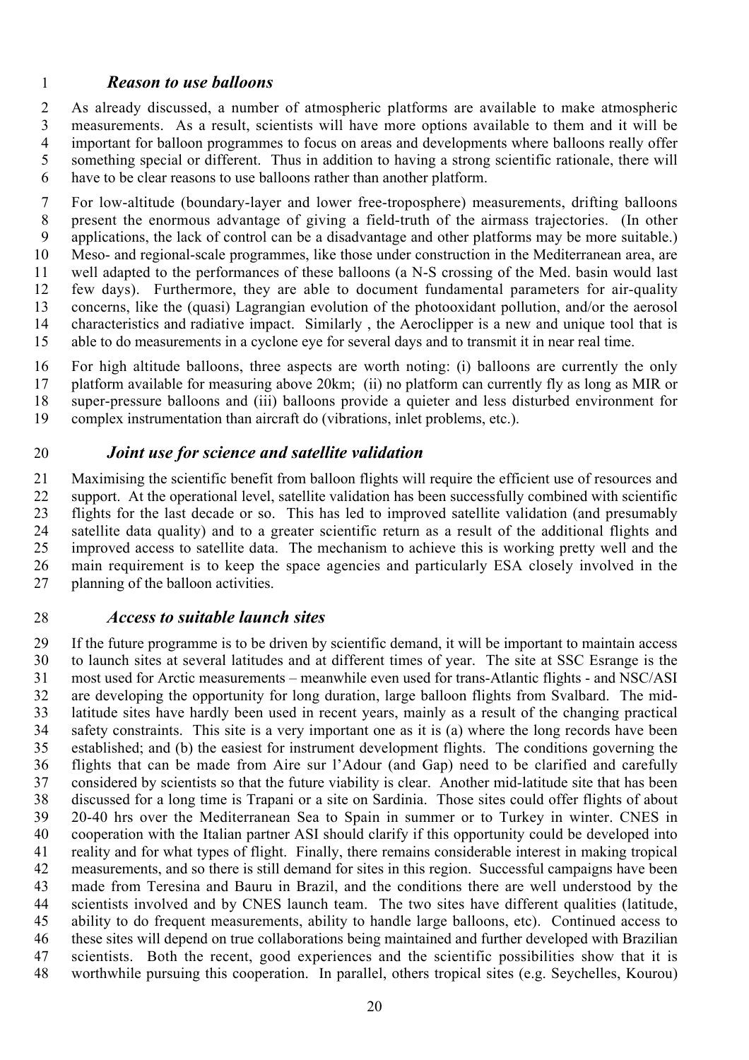## *Reason to use balloons*

 As already discussed, a number of atmospheric platforms are available to make atmospheric measurements. As a result, scientists will have more options available to them and it will be important for balloon programmes to focus on areas and developments where balloons really offer something special or different. Thus in addition to having a strong scientific rationale, there will have to be clear reasons to use balloons rather than another platform.

 For low-altitude (boundary-layer and lower free-troposphere) measurements, drifting balloons present the enormous advantage of giving a field-truth of the airmass trajectories. (In other applications, the lack of control can be a disadvantage and other platforms may be more suitable.) Meso- and regional-scale programmes, like those under construction in the Mediterranean area, are well adapted to the performances of these balloons (a N-S crossing of the Med. basin would last few days). Furthermore, they are able to document fundamental parameters for air-quality concerns, like the (quasi) Lagrangian evolution of the photooxidant pollution, and/or the aerosol characteristics and radiative impact. Similarly , the Aeroclipper is a new and unique tool that is able to do measurements in a cyclone eye for several days and to transmit it in near real time.

 For high altitude balloons, three aspects are worth noting: (i) balloons are currently the only platform available for measuring above 20km; (ii) no platform can currently fly as long as MIR or super-pressure balloons and (iii) balloons provide a quieter and less disturbed environment for complex instrumentation than aircraft do (vibrations, inlet problems, etc.).

## *Joint use for science and satellite validation*

 Maximising the scientific benefit from balloon flights will require the efficient use of resources and support. At the operational level, satellite validation has been successfully combined with scientific flights for the last decade or so. This has led to improved satellite validation (and presumably satellite data quality) and to a greater scientific return as a result of the additional flights and improved access to satellite data. The mechanism to achieve this is working pretty well and the main requirement is to keep the space agencies and particularly ESA closely involved in the planning of the balloon activities.

### *Access to suitable launch sites*

 If the future programme is to be driven by scientific demand, it will be important to maintain access to launch sites at several latitudes and at different times of year. The site at SSC Esrange is the most used for Arctic measurements – meanwhile even used for trans-Atlantic flights - and NSC/ASI are developing the opportunity for long duration, large balloon flights from Svalbard. The mid- latitude sites have hardly been used in recent years, mainly as a result of the changing practical safety constraints. This site is a very important one as it is (a) where the long records have been established; and (b) the easiest for instrument development flights. The conditions governing the flights that can be made from Aire sur l'Adour (and Gap) need to be clarified and carefully considered by scientists so that the future viability is clear. Another mid-latitude site that has been discussed for a long time is Trapani or a site on Sardinia. Those sites could offer flights of about 20-40 hrs over the Mediterranean Sea to Spain in summer or to Turkey in winter. CNES in cooperation with the Italian partner ASI should clarify if this opportunity could be developed into reality and for what types of flight. Finally, there remains considerable interest in making tropical measurements, and so there is still demand for sites in this region. Successful campaigns have been made from Teresina and Bauru in Brazil, and the conditions there are well understood by the scientists involved and by CNES launch team. The two sites have different qualities (latitude, ability to do frequent measurements, ability to handle large balloons, etc). Continued access to these sites will depend on true collaborations being maintained and further developed with Brazilian scientists. Both the recent, good experiences and the scientific possibilities show that it is worthwhile pursuing this cooperation. In parallel, others tropical sites (e.g. Seychelles, Kourou)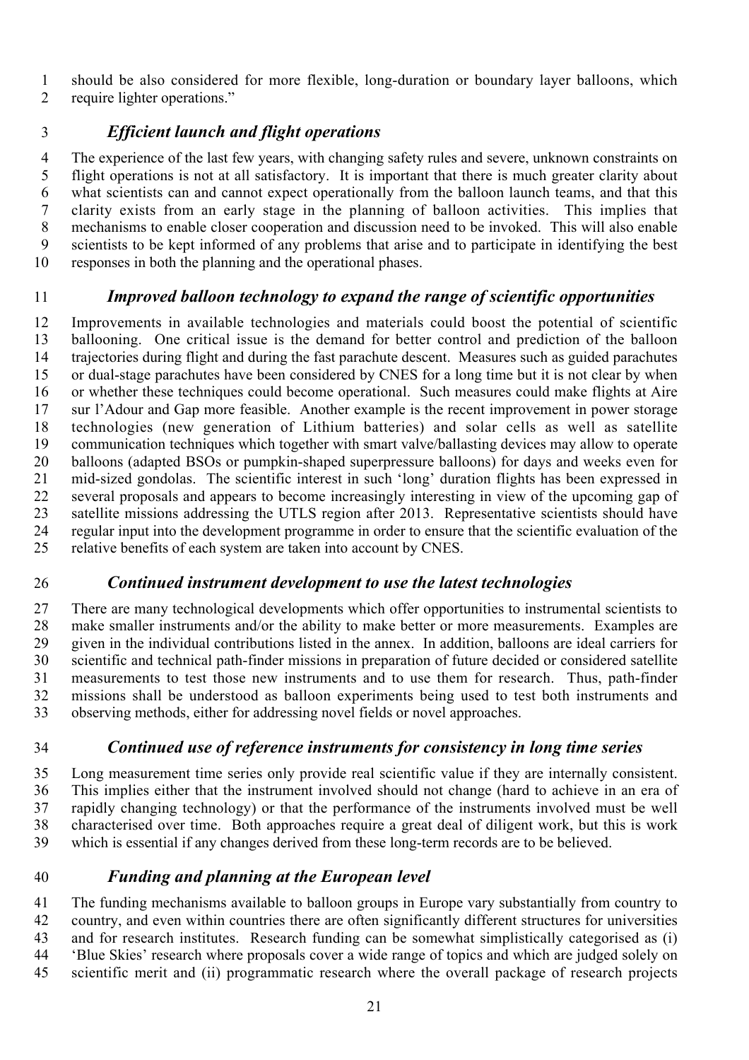should be also considered for more flexible, long-duration or boundary layer balloons, which

require lighter operations."

# *Efficient launch and flight operations*

 The experience of the last few years, with changing safety rules and severe, unknown constraints on flight operations is not at all satisfactory. It is important that there is much greater clarity about what scientists can and cannot expect operationally from the balloon launch teams, and that this clarity exists from an early stage in the planning of balloon activities. This implies that mechanisms to enable closer cooperation and discussion need to be invoked. This will also enable scientists to be kept informed of any problems that arise and to participate in identifying the best responses in both the planning and the operational phases.

# *Improved balloon technology to expand the range of scientific opportunities*

 Improvements in available technologies and materials could boost the potential of scientific ballooning. One critical issue is the demand for better control and prediction of the balloon trajectories during flight and during the fast parachute descent. Measures such as guided parachutes or dual-stage parachutes have been considered by CNES for a long time but it is not clear by when or whether these techniques could become operational. Such measures could make flights at Aire sur l'Adour and Gap more feasible. Another example is the recent improvement in power storage technologies (new generation of Lithium batteries) and solar cells as well as satellite communication techniques which together with smart valve/ballasting devices may allow to operate balloons (adapted BSOs or pumpkin-shaped superpressure balloons) for days and weeks even for mid-sized gondolas. The scientific interest in such 'long' duration flights has been expressed in several proposals and appears to become increasingly interesting in view of the upcoming gap of satellite missions addressing the UTLS region after 2013. Representative scientists should have regular input into the development programme in order to ensure that the scientific evaluation of the relative benefits of each system are taken into account by CNES.

# *Continued instrument development to use the latest technologies*

 There are many technological developments which offer opportunities to instrumental scientists to make smaller instruments and/or the ability to make better or more measurements. Examples are given in the individual contributions listed in the annex. In addition, balloons are ideal carriers for scientific and technical path-finder missions in preparation of future decided or considered satellite measurements to test those new instruments and to use them for research. Thus, path-finder missions shall be understood as balloon experiments being used to test both instruments and observing methods, either for addressing novel fields or novel approaches.

# *Continued use of reference instruments for consistency in long time series*

 Long measurement time series only provide real scientific value if they are internally consistent. This implies either that the instrument involved should not change (hard to achieve in an era of rapidly changing technology) or that the performance of the instruments involved must be well characterised over time. Both approaches require a great deal of diligent work, but this is work which is essential if any changes derived from these long-term records are to be believed.

# *Funding and planning at the European level*

 The funding mechanisms available to balloon groups in Europe vary substantially from country to country, and even within countries there are often significantly different structures for universities and for research institutes. Research funding can be somewhat simplistically categorised as (i) 'Blue Skies' research where proposals cover a wide range of topics and which are judged solely on scientific merit and (ii) programmatic research where the overall package of research projects